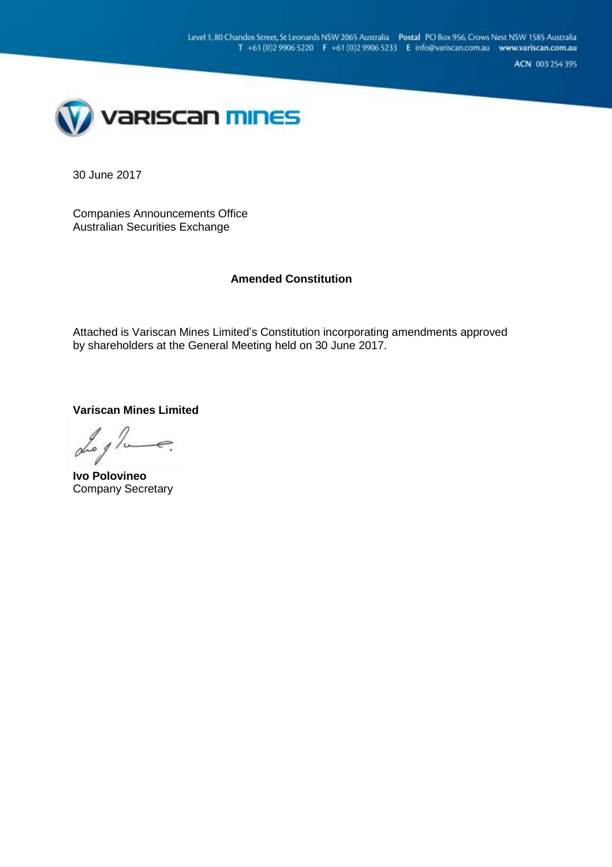ACN 003 254 395



30 June 2017

Companies Announcements Office Australian Securities Exchange

# **Amended Constitution**

Attached is Variscan Mines Limited's Constitution incorporating amendments approved by shareholders at the General Meeting held on 30 June 2017.

**Variscan Mines Limited**

 $\alpha$ 

**Ivo Polovineo** Company Secretary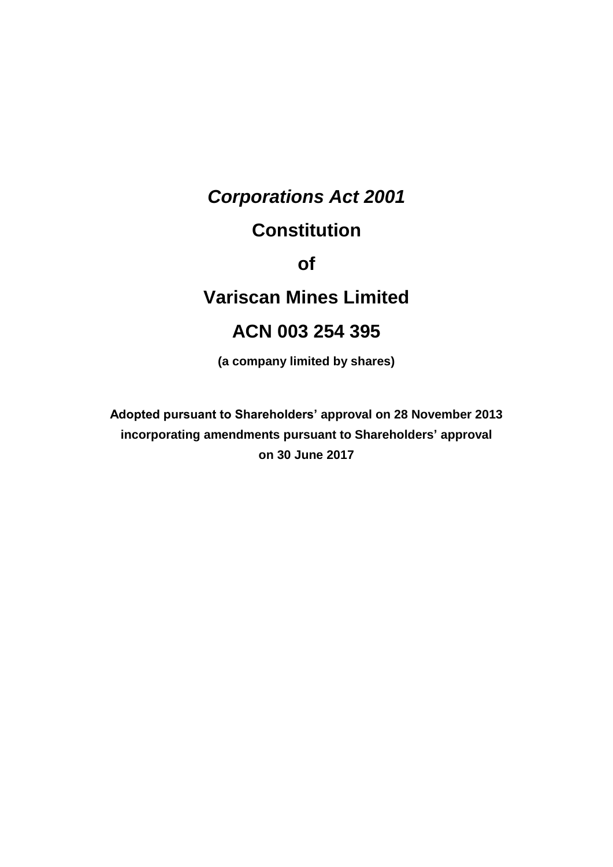# *Corporations Act 2001*

# **Constitution**

**of**

# **Variscan Mines Limited**

# **ACN 003 254 395**

**(a company limited by shares)**

**Adopted pursuant to Shareholders' approval on 28 November 2013 incorporating amendments pursuant to Shareholders' approval on 30 June 2017**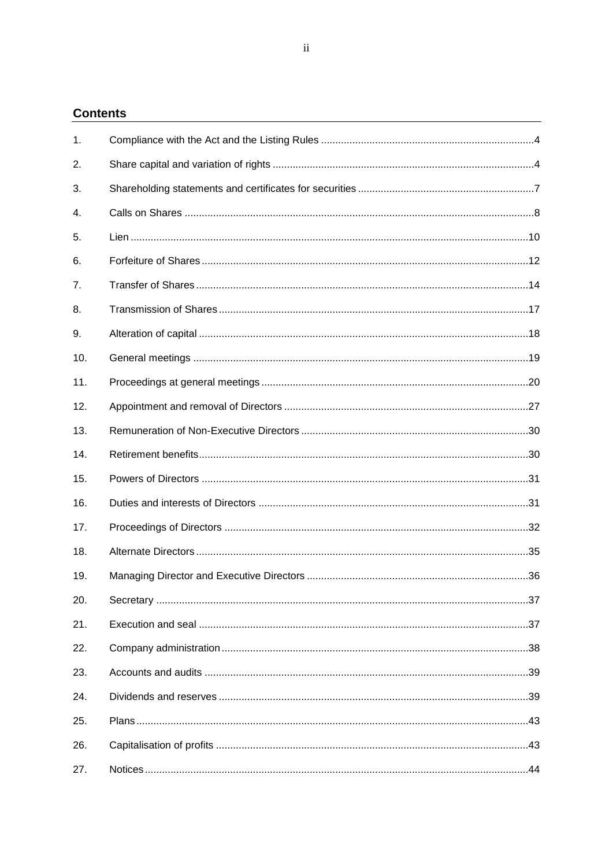# **Contents**

| 1.             |  |
|----------------|--|
| 2.             |  |
| 3.             |  |
| 4.             |  |
| 5.             |  |
| 6.             |  |
| 7 <sub>1</sub> |  |
| 8.             |  |
| 9.             |  |
| 10.            |  |
| 11.            |  |
| 12.            |  |
| 13.            |  |
| 14.            |  |
| 15.            |  |
| 16.            |  |
| 17.            |  |
| 18.            |  |
| 19.            |  |
| 20.            |  |
| 21.            |  |
| 22.            |  |
| 23.            |  |
| 24.            |  |
| 25.            |  |
| 26.            |  |
| 27.            |  |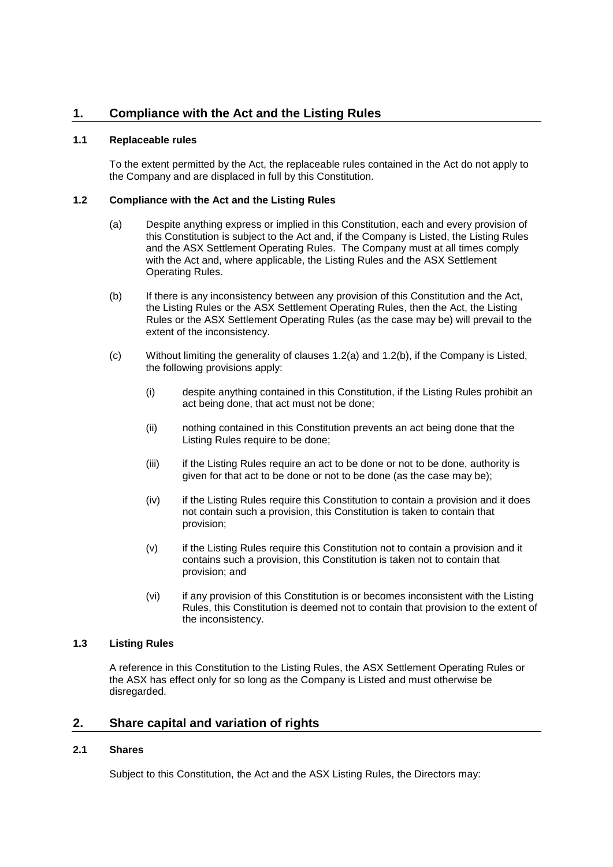# **1.1 Replaceable rules**

To the extent permitted by the Act, the replaceable rules contained in the Act do not apply to the Company and are displaced in full by this Constitution.

## <span id="page-4-0"></span>**1.2 Compliance with the Act and the Listing Rules**

- (a) Despite anything express or implied in this Constitution, each and every provision of this Constitution is subject to the Act and, if the Company is Listed, the Listing Rules and the ASX Settlement Operating Rules. The Company must at all times comply with the Act and, where applicable, the Listing Rules and the ASX Settlement Operating Rules.
- <span id="page-4-1"></span>(b) If there is any inconsistency between any provision of this Constitution and the Act, the Listing Rules or the ASX Settlement Operating Rules, then the Act, the Listing Rules or the ASX Settlement Operating Rules (as the case may be) will prevail to the extent of the inconsistency.
- (c) Without limiting the generality of clauses [1.2\(a\)](#page-4-0) and [1.2\(b\),](#page-4-1) if the Company is Listed, the following provisions apply:
	- (i) despite anything contained in this Constitution, if the Listing Rules prohibit an act being done, that act must not be done;
	- (ii) nothing contained in this Constitution prevents an act being done that the Listing Rules require to be done;
	- (iii) if the Listing Rules require an act to be done or not to be done, authority is given for that act to be done or not to be done (as the case may be);
	- (iv) if the Listing Rules require this Constitution to contain a provision and it does not contain such a provision, this Constitution is taken to contain that provision;
	- (v) if the Listing Rules require this Constitution not to contain a provision and it contains such a provision, this Constitution is taken not to contain that provision; and
	- (vi) if any provision of this Constitution is or becomes inconsistent with the Listing Rules, this Constitution is deemed not to contain that provision to the extent of the inconsistency.

# **1.3 Listing Rules**

A reference in this Constitution to the Listing Rules, the ASX Settlement Operating Rules or the ASX has effect only for so long as the Company is Listed and must otherwise be disregarded.

# **2. Share capital and variation of rights**

# **2.1 Shares**

Subject to this Constitution, the Act and the ASX Listing Rules, the Directors may: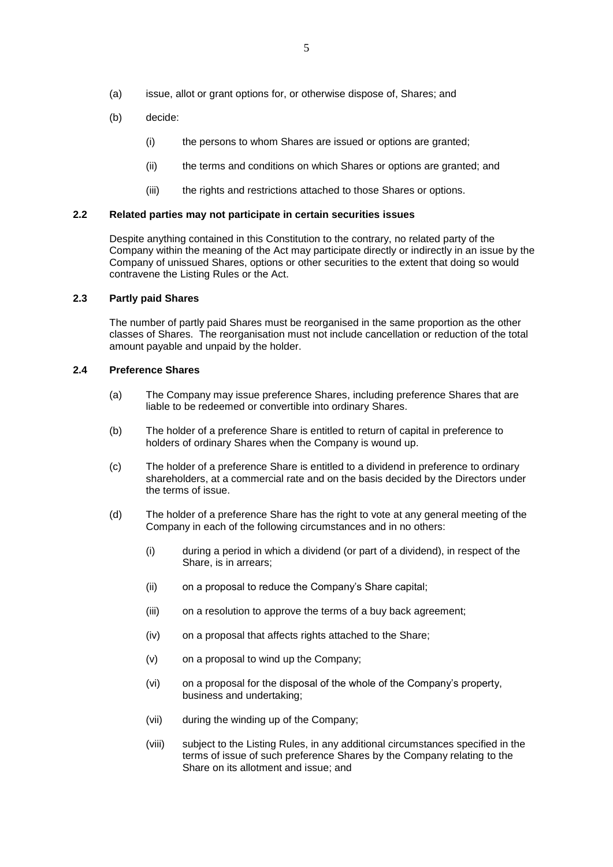- (a) issue, allot or grant options for, or otherwise dispose of, Shares; and
- (b) decide:
	- (i) the persons to whom Shares are issued or options are granted;
	- (ii) the terms and conditions on which Shares or options are granted; and
	- (iii) the rights and restrictions attached to those Shares or options.

#### **2.2 Related parties may not participate in certain securities issues**

Despite anything contained in this Constitution to the contrary, no related party of the Company within the meaning of the Act may participate directly or indirectly in an issue by the Company of unissued Shares, options or other securities to the extent that doing so would contravene the Listing Rules or the Act.

## <span id="page-5-0"></span>**2.3 Partly paid Shares**

The number of partly paid Shares must be reorganised in the same proportion as the other classes of Shares. The reorganisation must not include cancellation or reduction of the total amount payable and unpaid by the holder.

#### **2.4 Preference Shares**

- (a) The Company may issue preference Shares, including preference Shares that are liable to be redeemed or convertible into ordinary Shares.
- (b) The holder of a preference Share is entitled to return of capital in preference to holders of ordinary Shares when the Company is wound up.
- (c) The holder of a preference Share is entitled to a dividend in preference to ordinary shareholders, at a commercial rate and on the basis decided by the Directors under the terms of issue.
- (d) The holder of a preference Share has the right to vote at any general meeting of the Company in each of the following circumstances and in no others:
	- (i) during a period in which a dividend (or part of a dividend), in respect of the Share, is in arrears;
	- (ii) on a proposal to reduce the Company's Share capital;
	- (iii) on a resolution to approve the terms of a buy back agreement;
	- (iv) on a proposal that affects rights attached to the Share;
	- (v) on a proposal to wind up the Company;
	- (vi) on a proposal for the disposal of the whole of the Company's property, business and undertaking;
	- (vii) during the winding up of the Company;
	- (viii) subject to the Listing Rules, in any additional circumstances specified in the terms of issue of such preference Shares by the Company relating to the Share on its allotment and issue; and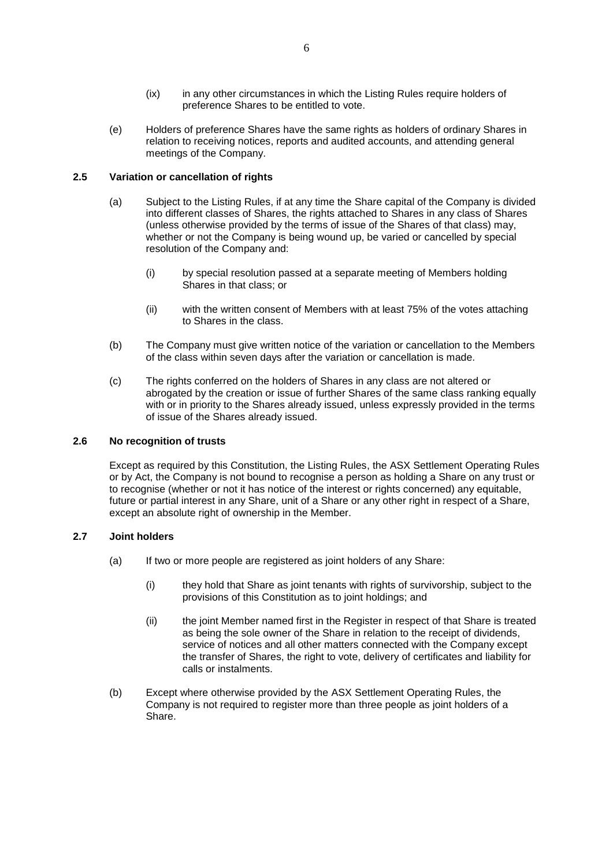- (ix) in any other circumstances in which the Listing Rules require holders of preference Shares to be entitled to vote.
- (e) Holders of preference Shares have the same rights as holders of ordinary Shares in relation to receiving notices, reports and audited accounts, and attending general meetings of the Company.

## <span id="page-6-0"></span>**2.5 Variation or cancellation of rights**

- (a) Subject to the Listing Rules, if at any time the Share capital of the Company is divided into different classes of Shares, the rights attached to Shares in any class of Shares (unless otherwise provided by the terms of issue of the Shares of that class) may, whether or not the Company is being wound up, be varied or cancelled by special resolution of the Company and:
	- (i) by special resolution passed at a separate meeting of Members holding Shares in that class; or
	- (ii) with the written consent of Members with at least 75% of the votes attaching to Shares in the class.
- (b) The Company must give written notice of the variation or cancellation to the Members of the class within seven days after the variation or cancellation is made.
- (c) The rights conferred on the holders of Shares in any class are not altered or abrogated by the creation or issue of further Shares of the same class ranking equally with or in priority to the Shares already issued, unless expressly provided in the terms of issue of the Shares already issued.

### **2.6 No recognition of trusts**

Except as required by this Constitution, the Listing Rules, the ASX Settlement Operating Rules or by Act, the Company is not bound to recognise a person as holding a Share on any trust or to recognise (whether or not it has notice of the interest or rights concerned) any equitable, future or partial interest in any Share, unit of a Share or any other right in respect of a Share, except an absolute right of ownership in the Member.

## **2.7 Joint holders**

- (a) If two or more people are registered as joint holders of any Share:
	- (i) they hold that Share as joint tenants with rights of survivorship, subject to the provisions of this Constitution as to joint holdings; and
	- (ii) the joint Member named first in the Register in respect of that Share is treated as being the sole owner of the Share in relation to the receipt of dividends, service of notices and all other matters connected with the Company except the transfer of Shares, the right to vote, delivery of certificates and liability for calls or instalments.
- (b) Except where otherwise provided by the ASX Settlement Operating Rules, the Company is not required to register more than three people as joint holders of a Share.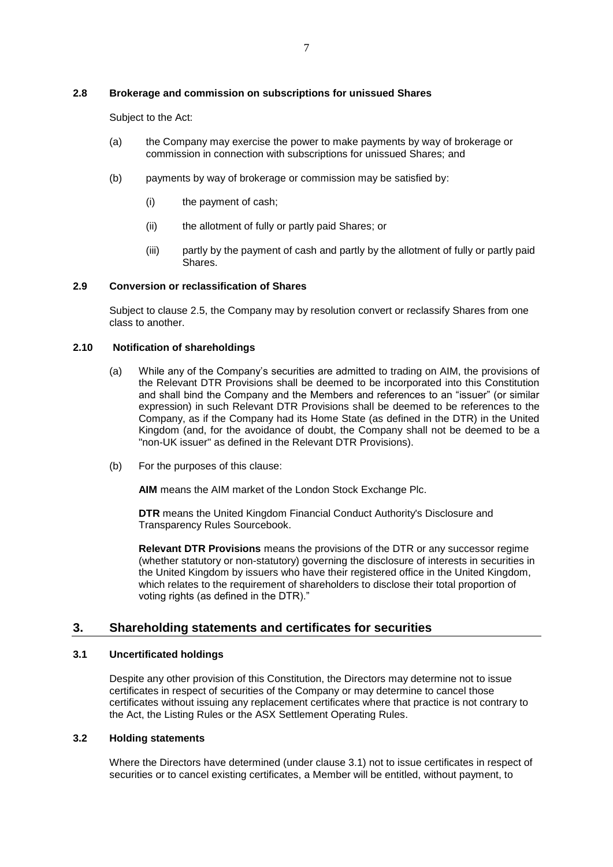# **2.8 Brokerage and commission on subscriptions for unissued Shares**

Subject to the Act:

- (a) the Company may exercise the power to make payments by way of brokerage or commission in connection with subscriptions for unissued Shares; and
- (b) payments by way of brokerage or commission may be satisfied by:
	- (i) the payment of cash;
	- (ii) the allotment of fully or partly paid Shares; or
	- (iii) partly by the payment of cash and partly by the allotment of fully or partly paid Shares.

## **2.9 Conversion or reclassification of Shares**

Subject to clause [2.5,](#page-6-0) the Company may by resolution convert or reclassify Shares from one class to another.

## **2.10 Notification of shareholdings**

- (a) While any of the Company's securities are admitted to trading on AIM, the provisions of the Relevant DTR Provisions shall be deemed to be incorporated into this Constitution and shall bind the Company and the Members and references to an "issuer" (or similar expression) in such Relevant DTR Provisions shall be deemed to be references to the Company, as if the Company had its Home State (as defined in the DTR) in the United Kingdom (and, for the avoidance of doubt, the Company shall not be deemed to be a "non-UK issuer" as defined in the Relevant DTR Provisions).
- (b) For the purposes of this clause:

**AIM** means the AIM market of the London Stock Exchange Plc.

**DTR** means the United Kingdom Financial Conduct Authority's Disclosure and Transparency Rules Sourcebook.

**Relevant DTR Provisions** means the provisions of the DTR or any successor regime (whether statutory or non-statutory) governing the disclosure of interests in securities in the United Kingdom by issuers who have their registered office in the United Kingdom, which relates to the requirement of shareholders to disclose their total proportion of voting rights (as defined in the DTR)."

# **3. Shareholding statements and certificates for securities**

## <span id="page-7-0"></span>**3.1 Uncertificated holdings**

Despite any other provision of this Constitution, the Directors may determine not to issue certificates in respect of securities of the Company or may determine to cancel those certificates without issuing any replacement certificates where that practice is not contrary to the Act, the Listing Rules or the ASX Settlement Operating Rules.

## **3.2 Holding statements**

Where the Directors have determined (under clause [3.1\)](#page-7-0) not to issue certificates in respect of securities or to cancel existing certificates, a Member will be entitled, without payment, to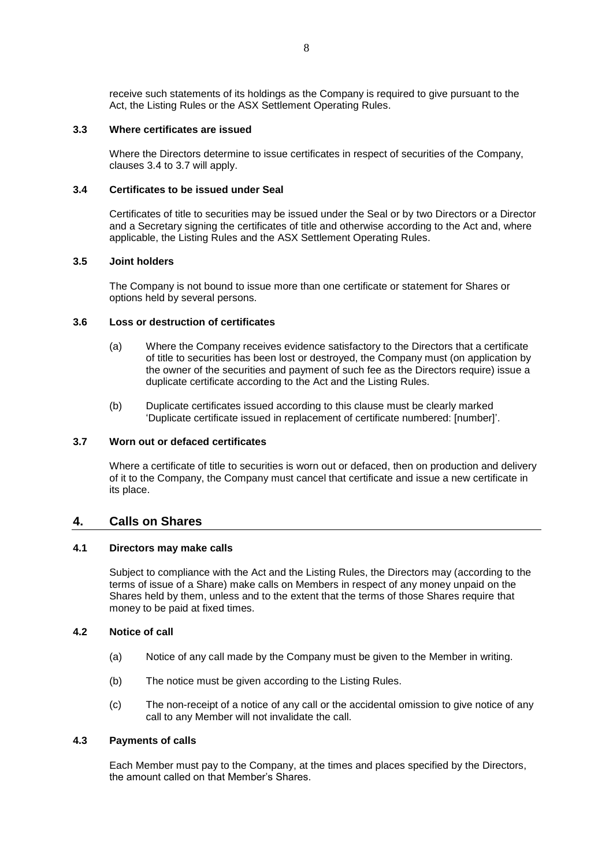receive such statements of its holdings as the Company is required to give pursuant to the Act, the Listing Rules or the ASX Settlement Operating Rules.

## **3.3 Where certificates are issued**

Where the Directors determine to issue certificates in respect of securities of the Company, clauses [3.4](#page-8-0) to [3.7](#page-8-1) will apply.

## <span id="page-8-0"></span>**3.4 Certificates to be issued under Seal**

Certificates of title to securities may be issued under the Seal or by two Directors or a Director and a Secretary signing the certificates of title and otherwise according to the Act and, where applicable, the Listing Rules and the ASX Settlement Operating Rules.

#### **3.5 Joint holders**

The Company is not bound to issue more than one certificate or statement for Shares or options held by several persons.

# **3.6 Loss or destruction of certificates**

- (a) Where the Company receives evidence satisfactory to the Directors that a certificate of title to securities has been lost or destroyed, the Company must (on application by the owner of the securities and payment of such fee as the Directors require) issue a duplicate certificate according to the Act and the Listing Rules.
- (b) Duplicate certificates issued according to this clause must be clearly marked 'Duplicate certificate issued in replacement of certificate numbered: [number]'.

#### <span id="page-8-1"></span>**3.7 Worn out or defaced certificates**

Where a certificate of title to securities is worn out or defaced, then on production and delivery of it to the Company, the Company must cancel that certificate and issue a new certificate in its place.

# <span id="page-8-2"></span>**4. Calls on Shares**

## **4.1 Directors may make calls**

Subject to compliance with the Act and the Listing Rules, the Directors may (according to the terms of issue of a Share) make calls on Members in respect of any money unpaid on the Shares held by them, unless and to the extent that the terms of those Shares require that money to be paid at fixed times.

## **4.2 Notice of call**

- (a) Notice of any call made by the Company must be given to the Member in writing.
- (b) The notice must be given according to the Listing Rules.
- (c) The non-receipt of a notice of any call or the accidental omission to give notice of any call to any Member will not invalidate the call.

## **4.3 Payments of calls**

Each Member must pay to the Company, at the times and places specified by the Directors, the amount called on that Member's Shares.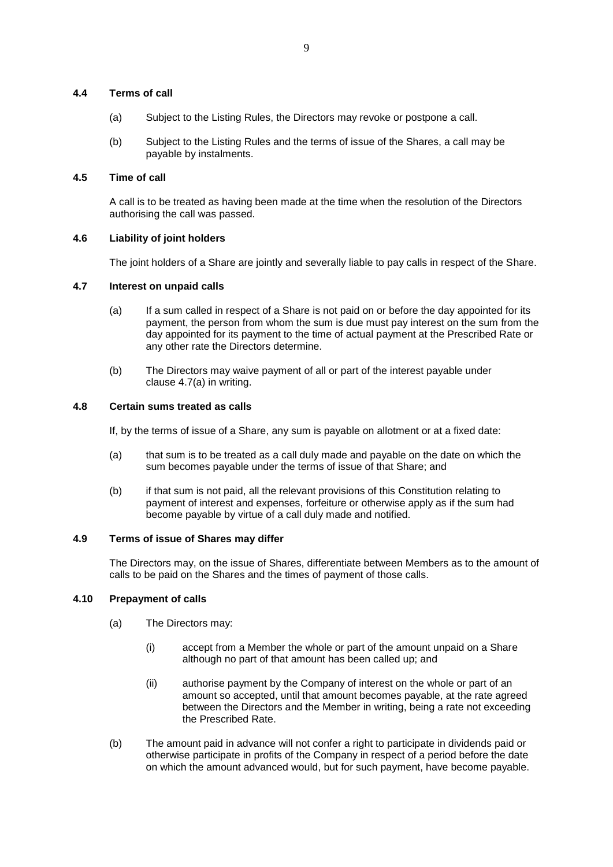# **4.4 Terms of call**

- (a) Subject to the Listing Rules, the Directors may revoke or postpone a call.
- (b) Subject to the Listing Rules and the terms of issue of the Shares, a call may be payable by instalments.

## **4.5 Time of call**

A call is to be treated as having been made at the time when the resolution of the Directors authorising the call was passed.

## **4.6 Liability of joint holders**

The joint holders of a Share are jointly and severally liable to pay calls in respect of the Share.

## <span id="page-9-0"></span>**4.7 Interest on unpaid calls**

- (a) If a sum called in respect of a Share is not paid on or before the day appointed for its payment, the person from whom the sum is due must pay interest on the sum from the day appointed for its payment to the time of actual payment at the Prescribed Rate or any other rate the Directors determine.
- (b) The Directors may waive payment of all or part of the interest payable under clause [4.7\(a\)](#page-9-0) in writing.

## <span id="page-9-1"></span>**4.8 Certain sums treated as calls**

If, by the terms of issue of a Share, any sum is payable on allotment or at a fixed date:

- (a) that sum is to be treated as a call duly made and payable on the date on which the sum becomes payable under the terms of issue of that Share; and
- (b) if that sum is not paid, all the relevant provisions of this Constitution relating to payment of interest and expenses, forfeiture or otherwise apply as if the sum had become payable by virtue of a call duly made and notified.

## **4.9 Terms of issue of Shares may differ**

The Directors may, on the issue of Shares, differentiate between Members as to the amount of calls to be paid on the Shares and the times of payment of those calls.

### **4.10 Prepayment of calls**

- (a) The Directors may:
	- (i) accept from a Member the whole or part of the amount unpaid on a Share although no part of that amount has been called up; and
	- (ii) authorise payment by the Company of interest on the whole or part of an amount so accepted, until that amount becomes payable, at the rate agreed between the Directors and the Member in writing, being a rate not exceeding the Prescribed Rate.
- (b) The amount paid in advance will not confer a right to participate in dividends paid or otherwise participate in profits of the Company in respect of a period before the date on which the amount advanced would, but for such payment, have become payable.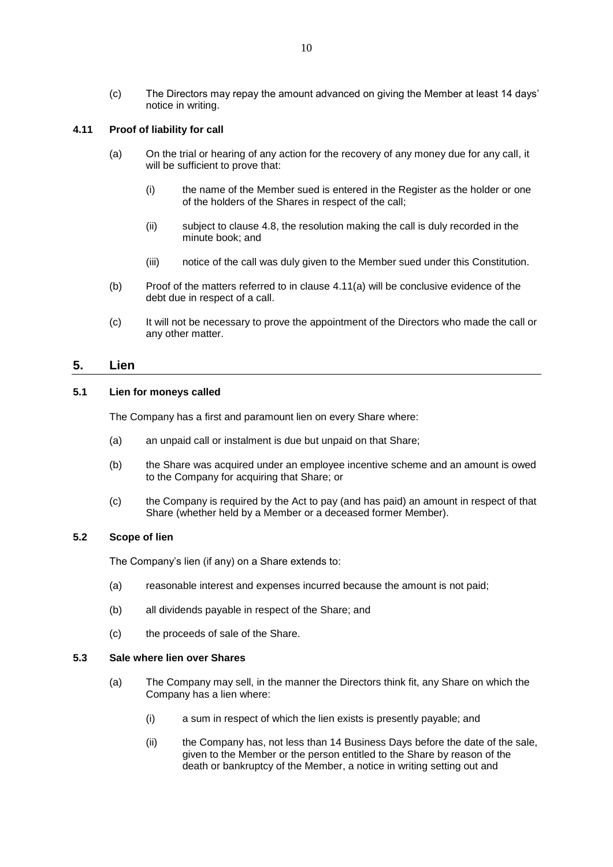(c) The Directors may repay the amount advanced on giving the Member at least 14 days' notice in writing.

# <span id="page-10-0"></span>**4.11 Proof of liability for call**

- (a) On the trial or hearing of any action for the recovery of any money due for any call, it will be sufficient to prove that:
	- (i) the name of the Member sued is entered in the Register as the holder or one of the holders of the Shares in respect of the call;
	- (ii) subject to clause [4.8,](#page-9-1) the resolution making the call is duly recorded in the minute book; and
	- (iii) notice of the call was duly given to the Member sued under this Constitution.
- (b) Proof of the matters referred to in clause [4.11\(a\)](#page-10-0) will be conclusive evidence of the debt due in respect of a call.
- (c) It will not be necessary to prove the appointment of the Directors who made the call or any other matter.

# <span id="page-10-3"></span>**5. Lien**

# **5.1 Lien for moneys called**

The Company has a first and paramount lien on every Share where:

- (a) an unpaid call or instalment is due but unpaid on that Share;
- (b) the Share was acquired under an employee incentive scheme and an amount is owed to the Company for acquiring that Share; or
- (c) the Company is required by the Act to pay (and has paid) an amount in respect of that Share (whether held by a Member or a deceased former Member).

# **5.2 Scope of lien**

The Company's lien (if any) on a Share extends to:

- (a) reasonable interest and expenses incurred because the amount is not paid;
- (b) all dividends payable in respect of the Share; and
- (c) the proceeds of sale of the Share.

#### <span id="page-10-2"></span>**5.3 Sale where lien over Shares**

- <span id="page-10-1"></span>(a) The Company may sell, in the manner the Directors think fit, any Share on which the Company has a lien where:
	- (i) a sum in respect of which the lien exists is presently payable; and
	- (ii) the Company has, not less than 14 Business Days before the date of the sale, given to the Member or the person entitled to the Share by reason of the death or bankruptcy of the Member, a notice in writing setting out and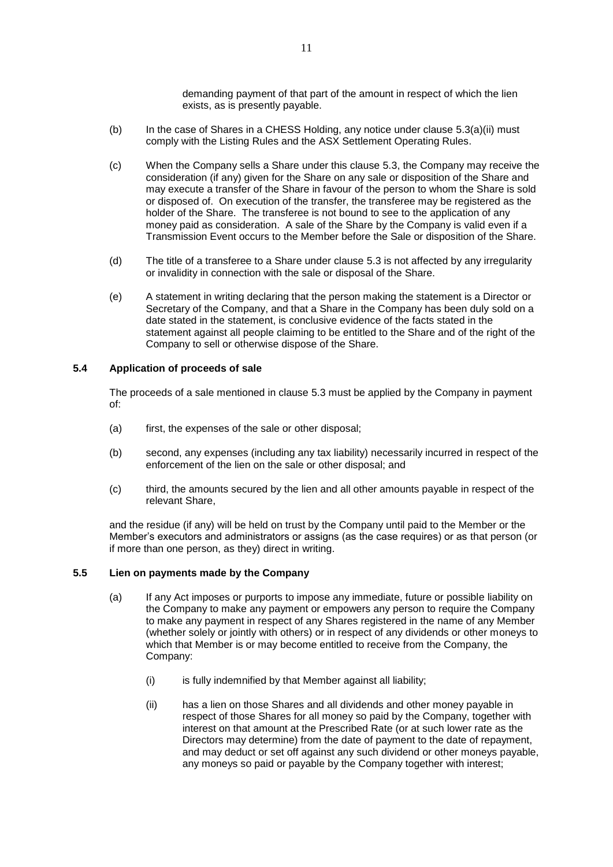demanding payment of that part of the amount in respect of which the lien exists, as is presently payable.

- (b) In the case of Shares in a CHESS Holding, any notice under clause  $5.3(a)(ii)$  must comply with the Listing Rules and the ASX Settlement Operating Rules.
- (c) When the Company sells a Share under this clause [5.3,](#page-10-2) the Company may receive the consideration (if any) given for the Share on any sale or disposition of the Share and may execute a transfer of the Share in favour of the person to whom the Share is sold or disposed of. On execution of the transfer, the transferee may be registered as the holder of the Share. The transferee is not bound to see to the application of any money paid as consideration. A sale of the Share by the Company is valid even if a Transmission Event occurs to the Member before the Sale or disposition of the Share.
- (d) The title of a transferee to a Share under clause [5.3](#page-10-2) is not affected by any irregularity or invalidity in connection with the sale or disposal of the Share.
- (e) A statement in writing declaring that the person making the statement is a Director or Secretary of the Company, and that a Share in the Company has been duly sold on a date stated in the statement, is conclusive evidence of the facts stated in the statement against all people claiming to be entitled to the Share and of the right of the Company to sell or otherwise dispose of the Share.

# **5.4 Application of proceeds of sale**

The proceeds of a sale mentioned in clause [5.3](#page-10-2) must be applied by the Company in payment of:

- (a) first, the expenses of the sale or other disposal;
- (b) second, any expenses (including any tax liability) necessarily incurred in respect of the enforcement of the lien on the sale or other disposal; and
- (c) third, the amounts secured by the lien and all other amounts payable in respect of the relevant Share,

and the residue (if any) will be held on trust by the Company until paid to the Member or the Member's executors and administrators or assigns (as the case requires) or as that person (or if more than one person, as they) direct in writing.

# **5.5 Lien on payments made by the Company**

- (a) If any Act imposes or purports to impose any immediate, future or possible liability on the Company to make any payment or empowers any person to require the Company to make any payment in respect of any Shares registered in the name of any Member (whether solely or jointly with others) or in respect of any dividends or other moneys to which that Member is or may become entitled to receive from the Company, the Company:
	- (i) is fully indemnified by that Member against all liability;
	- (ii) has a lien on those Shares and all dividends and other money payable in respect of those Shares for all money so paid by the Company, together with interest on that amount at the Prescribed Rate (or at such lower rate as the Directors may determine) from the date of payment to the date of repayment, and may deduct or set off against any such dividend or other moneys payable, any moneys so paid or payable by the Company together with interest;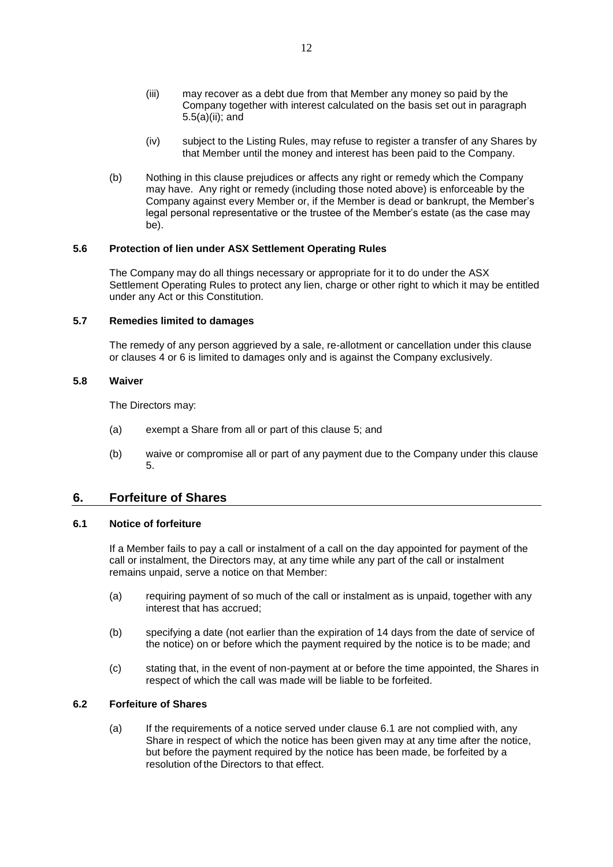- (iii) may recover as a debt due from that Member any money so paid by the Company together with interest calculated on the basis set out in paragraph 5.5(a)(ii); and
- (iv) subject to the Listing Rules, may refuse to register a transfer of any Shares by that Member until the money and interest has been paid to the Company.
- (b) Nothing in this clause prejudices or affects any right or remedy which the Company may have. Any right or remedy (including those noted above) is enforceable by the Company against every Member or, if the Member is dead or bankrupt, the Member's legal personal representative or the trustee of the Member's estate (as the case may be).

## **5.6 Protection of lien under ASX Settlement Operating Rules**

The Company may do all things necessary or appropriate for it to do under the ASX Settlement Operating Rules to protect any lien, charge or other right to which it may be entitled under any Act or this Constitution.

## **5.7 Remedies limited to damages**

The remedy of any person aggrieved by a sale, re-allotment or cancellation under this clause or clauses [4](#page-8-2) or [6](#page-12-0) is limited to damages only and is against the Company exclusively.

## **5.8 Waiver**

The Directors may:

- (a) exempt a Share from all or part of this clause [5;](#page-10-3) and
- (b) waive or compromise all or part of any payment due to the Company under this clause [5.](#page-10-3)

# <span id="page-12-0"></span>**6. Forfeiture of Shares**

## <span id="page-12-1"></span>**6.1 Notice of forfeiture**

If a Member fails to pay a call or instalment of a call on the day appointed for payment of the call or instalment, the Directors may, at any time while any part of the call or instalment remains unpaid, serve a notice on that Member:

- (a) requiring payment of so much of the call or instalment as is unpaid, together with any interest that has accrued;
- (b) specifying a date (not earlier than the expiration of 14 days from the date of service of the notice) on or before which the payment required by the notice is to be made; and
- (c) stating that, in the event of non-payment at or before the time appointed, the Shares in respect of which the call was made will be liable to be forfeited.

# <span id="page-12-2"></span>**6.2 Forfeiture of Shares**

(a) If the requirements of a notice served under clause [6.1](#page-12-1) are not complied with, any Share in respect of which the notice has been given may at any time after the notice, but before the payment required by the notice has been made, be forfeited by a resolution of the Directors to that effect.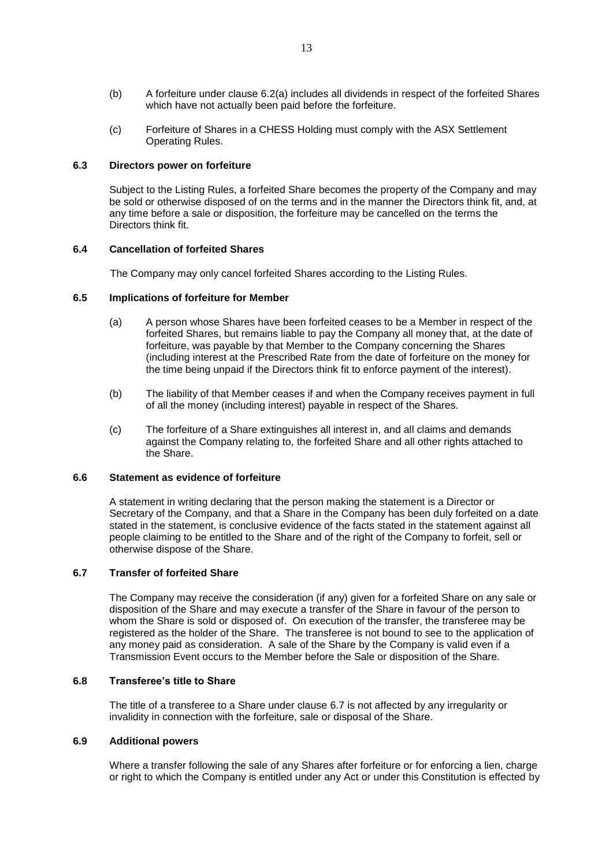- (b) A forfeiture under clause [6.2\(a\)](#page-12-2) includes all dividends in respect of the forfeited Shares which have not actually been paid before the forfeiture.
- (c) Forfeiture of Shares in a CHESS Holding must comply with the ASX Settlement Operating Rules.

## **6.3 Directors power on forfeiture**

Subject to the Listing Rules, a forfeited Share becomes the property of the Company and may be sold or otherwise disposed of on the terms and in the manner the Directors think fit, and, at any time before a sale or disposition, the forfeiture may be cancelled on the terms the Directors think fit.

## **6.4 Cancellation of forfeited Shares**

The Company may only cancel forfeited Shares according to the Listing Rules.

## **6.5 Implications of forfeiture for Member**

- (a) A person whose Shares have been forfeited ceases to be a Member in respect of the forfeited Shares, but remains liable to pay the Company all money that, at the date of forfeiture, was payable by that Member to the Company concerning the Shares (including interest at the Prescribed Rate from the date of forfeiture on the money for the time being unpaid if the Directors think fit to enforce payment of the interest).
- (b) The liability of that Member ceases if and when the Company receives payment in full of all the money (including interest) payable in respect of the Shares.
- (c) The forfeiture of a Share extinguishes all interest in, and all claims and demands against the Company relating to, the forfeited Share and all other rights attached to the Share.

### **6.6 Statement as evidence of forfeiture**

A statement in writing declaring that the person making the statement is a Director or Secretary of the Company, and that a Share in the Company has been duly forfeited on a date stated in the statement, is conclusive evidence of the facts stated in the statement against all people claiming to be entitled to the Share and of the right of the Company to forfeit, sell or otherwise dispose of the Share.

## <span id="page-13-0"></span>**6.7 Transfer of forfeited Share**

The Company may receive the consideration (if any) given for a forfeited Share on any sale or disposition of the Share and may execute a transfer of the Share in favour of the person to whom the Share is sold or disposed of. On execution of the transfer, the transferee may be registered as the holder of the Share. The transferee is not bound to see to the application of any money paid as consideration. A sale of the Share by the Company is valid even if a Transmission Event occurs to the Member before the Sale or disposition of the Share.

## **6.8 Transferee's title to Share**

The title of a transferee to a Share under clause [6.7](#page-13-0) is not affected by any irregularity or invalidity in connection with the forfeiture, sale or disposal of the Share.

# **6.9 Additional powers**

Where a transfer following the sale of any Shares after forfeiture or for enforcing a lien, charge or right to which the Company is entitled under any Act or under this Constitution is effected by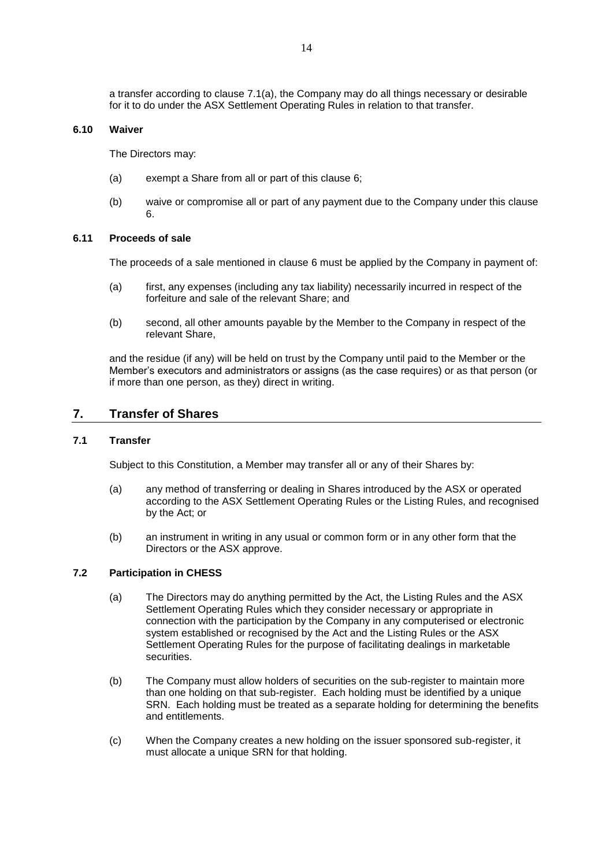a transfer according to clause [7.1\(a\),](#page-14-0) the Company may do all things necessary or desirable for it to do under the ASX Settlement Operating Rules in relation to that transfer.

## **6.10 Waiver**

The Directors may:

- (a) exempt a Share from all or part of this clause [6;](#page-12-0)
- (b) waive or compromise all or part of any payment due to the Company under this clause [6.](#page-12-0)

#### **6.11 Proceeds of sale**

The proceeds of a sale mentioned in clause [6](#page-12-0) must be applied by the Company in payment of:

- (a) first, any expenses (including any tax liability) necessarily incurred in respect of the forfeiture and sale of the relevant Share; and
- (b) second, all other amounts payable by the Member to the Company in respect of the relevant Share,

and the residue (if any) will be held on trust by the Company until paid to the Member or the Member's executors and administrators or assigns (as the case requires) or as that person (or if more than one person, as they) direct in writing.

# **7. Transfer of Shares**

## <span id="page-14-2"></span><span id="page-14-0"></span>**7.1 Transfer**

Subject to this Constitution, a Member may transfer all or any of their Shares by:

- (a) any method of transferring or dealing in Shares introduced by the ASX or operated according to the ASX Settlement Operating Rules or the Listing Rules, and recognised by the Act; or
- <span id="page-14-3"></span>(b) an instrument in writing in any usual or common form or in any other form that the Directors or the ASX approve.

## <span id="page-14-1"></span>**7.2 Participation in CHESS**

- (a) The Directors may do anything permitted by the Act, the Listing Rules and the ASX Settlement Operating Rules which they consider necessary or appropriate in connection with the participation by the Company in any computerised or electronic system established or recognised by the Act and the Listing Rules or the ASX Settlement Operating Rules for the purpose of facilitating dealings in marketable securities.
- (b) The Company must allow holders of securities on the sub-register to maintain more than one holding on that sub-register. Each holding must be identified by a unique SRN. Each holding must be treated as a separate holding for determining the benefits and entitlements.
- (c) When the Company creates a new holding on the issuer sponsored sub-register, it must allocate a unique SRN for that holding.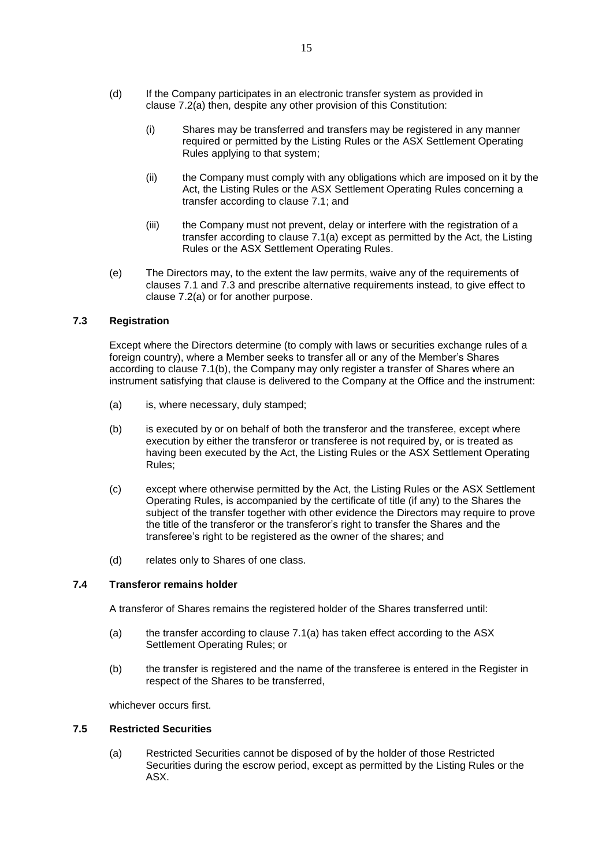- (d) If the Company participates in an electronic transfer system as provided in clause [7.2\(a\)](#page-14-1) then, despite any other provision of this Constitution:
	- (i) Shares may be transferred and transfers may be registered in any manner required or permitted by the Listing Rules or the ASX Settlement Operating Rules applying to that system;
	- (ii) the Company must comply with any obligations which are imposed on it by the Act, the Listing Rules or the ASX Settlement Operating Rules concerning a transfer according to clause [7.1;](#page-14-2) and
	- (iii) the Company must not prevent, delay or interfere with the registration of a transfer according to clause [7.1\(a\)](#page-14-0) except as permitted by the Act, the Listing Rules or the ASX Settlement Operating Rules.
- (e) The Directors may, to the extent the law permits, waive any of the requirements of clauses [7.1](#page-14-2) and [7.3](#page-15-0) and prescribe alternative requirements instead, to give effect to clause [7.2\(a\)](#page-14-1) or for another purpose.

# <span id="page-15-0"></span>**7.3 Registration**

Except where the Directors determine (to comply with laws or securities exchange rules of a foreign country), where a Member seeks to transfer all or any of the Member's Shares according to clause [7.1\(b\),](#page-14-3) the Company may only register a transfer of Shares where an instrument satisfying that clause is delivered to the Company at the Office and the instrument:

- (a) is, where necessary, duly stamped;
- (b) is executed by or on behalf of both the transferor and the transferee, except where execution by either the transferor or transferee is not required by, or is treated as having been executed by the Act, the Listing Rules or the ASX Settlement Operating Rules;
- (c) except where otherwise permitted by the Act, the Listing Rules or the ASX Settlement Operating Rules, is accompanied by the certificate of title (if any) to the Shares the subject of the transfer together with other evidence the Directors may require to prove the title of the transferor or the transferor's right to transfer the Shares and the transferee's right to be registered as the owner of the shares; and
- (d) relates only to Shares of one class.

## **7.4 Transferor remains holder**

A transferor of Shares remains the registered holder of the Shares transferred until:

- (a) the transfer according to clause [7.1\(a\)](#page-14-0) has taken effect according to the ASX Settlement Operating Rules; or
- (b) the transfer is registered and the name of the transferee is entered in the Register in respect of the Shares to be transferred,

whichever occurs first.

## **7.5 Restricted Securities**

(a) Restricted Securities cannot be disposed of by the holder of those Restricted Securities during the escrow period, except as permitted by the Listing Rules or the ASX.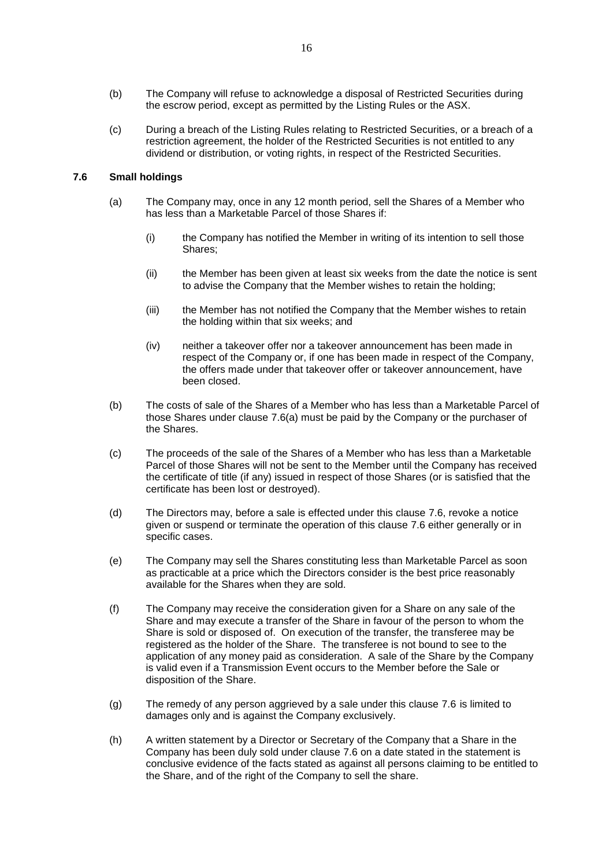- (b) The Company will refuse to acknowledge a disposal of Restricted Securities during the escrow period, except as permitted by the Listing Rules or the ASX.
- (c) During a breach of the Listing Rules relating to Restricted Securities, or a breach of a restriction agreement, the holder of the Restricted Securities is not entitled to any dividend or distribution, or voting rights, in respect of the Restricted Securities.

# <span id="page-16-1"></span><span id="page-16-0"></span>**7.6 Small holdings**

- (a) The Company may, once in any 12 month period, sell the Shares of a Member who has less than a Marketable Parcel of those Shares if:
	- (i) the Company has notified the Member in writing of its intention to sell those Shares;
	- (ii) the Member has been given at least six weeks from the date the notice is sent to advise the Company that the Member wishes to retain the holding;
	- (iii) the Member has not notified the Company that the Member wishes to retain the holding within that six weeks; and
	- (iv) neither a takeover offer nor a takeover announcement has been made in respect of the Company or, if one has been made in respect of the Company, the offers made under that takeover offer or takeover announcement, have been closed.
- (b) The costs of sale of the Shares of a Member who has less than a Marketable Parcel of those Shares under clause [7.6\(a\)](#page-16-0) must be paid by the Company or the purchaser of the Shares.
- (c) The proceeds of the sale of the Shares of a Member who has less than a Marketable Parcel of those Shares will not be sent to the Member until the Company has received the certificate of title (if any) issued in respect of those Shares (or is satisfied that the certificate has been lost or destroyed).
- (d) The Directors may, before a sale is effected under this clause [7.6,](#page-16-1) revoke a notice given or suspend or terminate the operation of this clause [7.6](#page-16-1) either generally or in specific cases.
- (e) The Company may sell the Shares constituting less than Marketable Parcel as soon as practicable at a price which the Directors consider is the best price reasonably available for the Shares when they are sold.
- (f) The Company may receive the consideration given for a Share on any sale of the Share and may execute a transfer of the Share in favour of the person to whom the Share is sold or disposed of. On execution of the transfer, the transferee may be registered as the holder of the Share. The transferee is not bound to see to the application of any money paid as consideration. A sale of the Share by the Company is valid even if a Transmission Event occurs to the Member before the Sale or disposition of the Share.
- (g) The remedy of any person aggrieved by a sale under this clause [7.6](#page-16-1) is limited to damages only and is against the Company exclusively.
- (h) A written statement by a Director or Secretary of the Company that a Share in the Company has been duly sold under clause [7.6](#page-16-1) on a date stated in the statement is conclusive evidence of the facts stated as against all persons claiming to be entitled to the Share, and of the right of the Company to sell the share.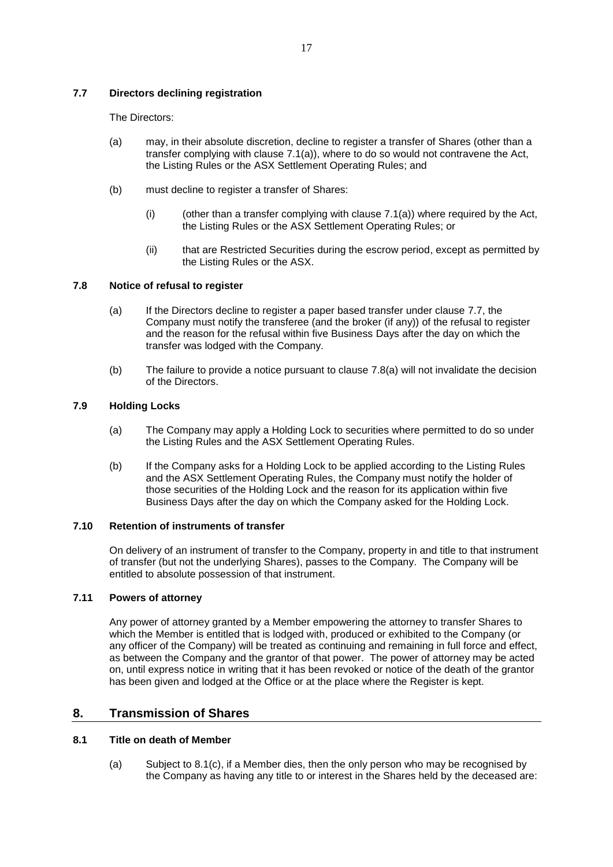# <span id="page-17-0"></span>**7.7 Directors declining registration**

The Directors:

- (a) may, in their absolute discretion, decline to register a transfer of Shares (other than a transfer complying with clause [7.1\(a\)\)](#page-14-0), where to do so would not contravene the Act, the Listing Rules or the ASX Settlement Operating Rules; and
- (b) must decline to register a transfer of Shares:
	- (i) (other than a transfer complying with clause  $7.1(a)$ ) where required by the Act, the Listing Rules or the ASX Settlement Operating Rules; or
	- (ii) that are Restricted Securities during the escrow period, except as permitted by the Listing Rules or the ASX.

# <span id="page-17-1"></span>**7.8 Notice of refusal to register**

- (a) If the Directors decline to register a paper based transfer under clause [7.7,](#page-17-0) the Company must notify the transferee (and the broker (if any)) of the refusal to register and the reason for the refusal within five Business Days after the day on which the transfer was lodged with the Company.
- (b) The failure to provide a notice pursuant to clause [7.8\(a\)](#page-17-1) will not invalidate the decision of the Directors.

## **7.9 Holding Locks**

- (a) The Company may apply a Holding Lock to securities where permitted to do so under the Listing Rules and the ASX Settlement Operating Rules.
- (b) If the Company asks for a Holding Lock to be applied according to the Listing Rules and the ASX Settlement Operating Rules, the Company must notify the holder of those securities of the Holding Lock and the reason for its application within five Business Days after the day on which the Company asked for the Holding Lock.

## **7.10 Retention of instruments of transfer**

On delivery of an instrument of transfer to the Company, property in and title to that instrument of transfer (but not the underlying Shares), passes to the Company. The Company will be entitled to absolute possession of that instrument.

# **7.11 Powers of attorney**

Any power of attorney granted by a Member empowering the attorney to transfer Shares to which the Member is entitled that is lodged with, produced or exhibited to the Company (or any officer of the Company) will be treated as continuing and remaining in full force and effect, as between the Company and the grantor of that power. The power of attorney may be acted on, until express notice in writing that it has been revoked or notice of the death of the grantor has been given and lodged at the Office or at the place where the Register is kept.

# **8. Transmission of Shares**

# **8.1 Title on death of Member**

(a) Subject to [8.1\(c\),](#page-18-0) if a Member dies, then the only person who may be recognised by the Company as having any title to or interest in the Shares held by the deceased are: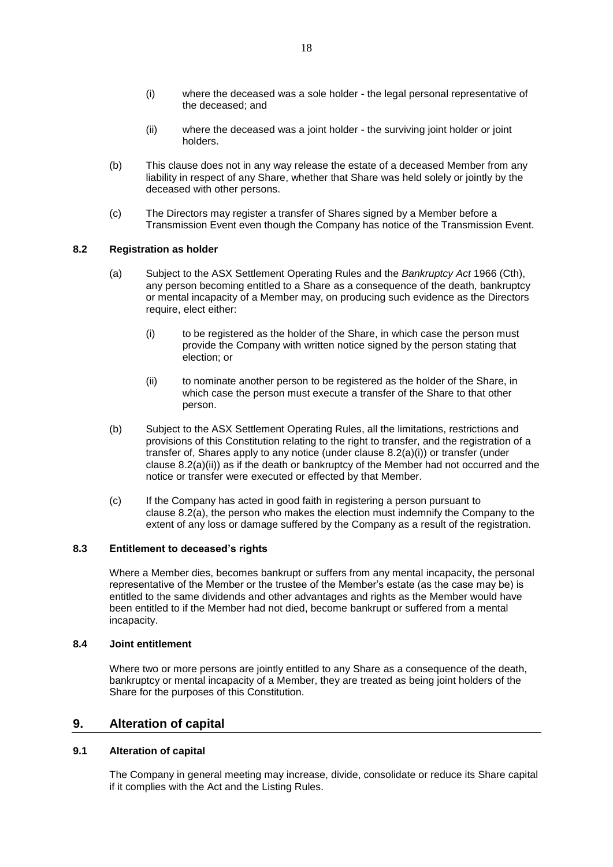- (ii) where the deceased was a joint holder the surviving joint holder or joint holders.
- (b) This clause does not in any way release the estate of a deceased Member from any liability in respect of any Share, whether that Share was held solely or jointly by the deceased with other persons.
- <span id="page-18-0"></span>(c) The Directors may register a transfer of Shares signed by a Member before a Transmission Event even though the Company has notice of the Transmission Event.

## <span id="page-18-3"></span>**8.2 Registration as holder**

- <span id="page-18-1"></span>(a) Subject to the ASX Settlement Operating Rules and the *Bankruptcy Act* 1966 (Cth), any person becoming entitled to a Share as a consequence of the death, bankruptcy or mental incapacity of a Member may, on producing such evidence as the Directors require, elect either:
	- (i) to be registered as the holder of the Share, in which case the person must provide the Company with written notice signed by the person stating that election; or
	- (ii) to nominate another person to be registered as the holder of the Share, in which case the person must execute a transfer of the Share to that other person.
- <span id="page-18-2"></span>(b) Subject to the ASX Settlement Operating Rules, all the limitations, restrictions and provisions of this Constitution relating to the right to transfer, and the registration of a transfer of, Shares apply to any notice (under clause [8.2\(a\)\(i\)\)](#page-18-1) or transfer (under clause [8.2\(a\)\(ii\)\)](#page-18-2) as if the death or bankruptcy of the Member had not occurred and the notice or transfer were executed or effected by that Member.
- (c) If the Company has acted in good faith in registering a person pursuant to clause [8.2\(a\),](#page-18-3) the person who makes the election must indemnify the Company to the extent of any loss or damage suffered by the Company as a result of the registration.

# **8.3 Entitlement to deceased's rights**

Where a Member dies, becomes bankrupt or suffers from any mental incapacity, the personal representative of the Member or the trustee of the Member's estate (as the case may be) is entitled to the same dividends and other advantages and rights as the Member would have been entitled to if the Member had not died, become bankrupt or suffered from a mental incapacity.

### **8.4 Joint entitlement**

Where two or more persons are jointly entitled to any Share as a consequence of the death, bankruptcy or mental incapacity of a Member, they are treated as being joint holders of the Share for the purposes of this Constitution.

# **9. Alteration of capital**

# <span id="page-18-4"></span>**9.1 Alteration of capital**

The Company in general meeting may increase, divide, consolidate or reduce its Share capital if it complies with the Act and the Listing Rules.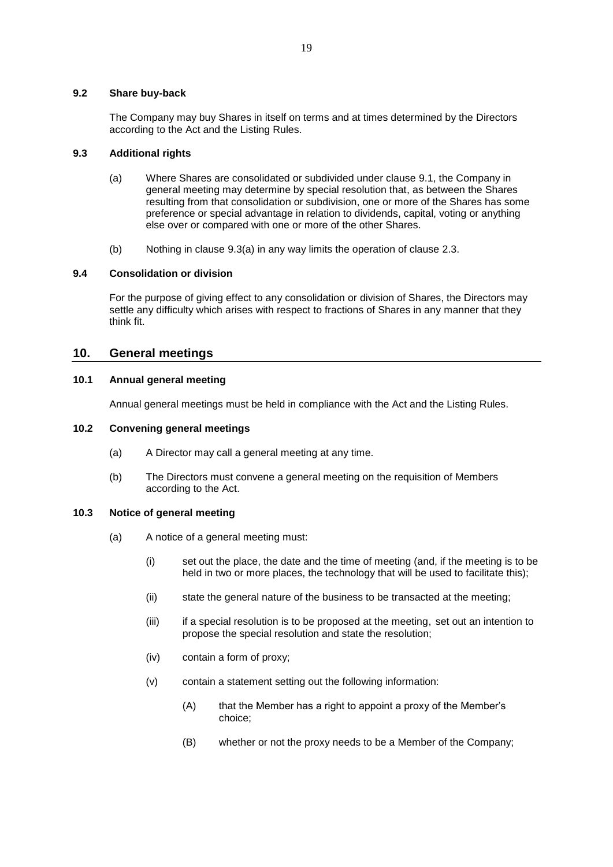## **9.2 Share buy-back**

The Company may buy Shares in itself on terms and at times determined by the Directors according to the Act and the Listing Rules.

## <span id="page-19-0"></span>**9.3 Additional rights**

- (a) Where Shares are consolidated or subdivided under clause [9.1,](#page-18-4) the Company in general meeting may determine by special resolution that, as between the Shares resulting from that consolidation or subdivision, one or more of the Shares has some preference or special advantage in relation to dividends, capital, voting or anything else over or compared with one or more of the other Shares.
- (b) Nothing in clause [9.3\(a\)](#page-19-0) in any way limits the operation of clause [2.3.](#page-5-0)

## **9.4 Consolidation or division**

For the purpose of giving effect to any consolidation or division of Shares, the Directors may settle any difficulty which arises with respect to fractions of Shares in any manner that they think fit.

# **10. General meetings**

# **10.1 Annual general meeting**

Annual general meetings must be held in compliance with the Act and the Listing Rules.

## **10.2 Convening general meetings**

- (a) A Director may call a general meeting at any time.
- (b) The Directors must convene a general meeting on the requisition of Members according to the Act.

# **10.3 Notice of general meeting**

- (a) A notice of a general meeting must:
	- (i) set out the place, the date and the time of meeting (and, if the meeting is to be held in two or more places, the technology that will be used to facilitate this);
	- (ii) state the general nature of the business to be transacted at the meeting;
	- (iii) if a special resolution is to be proposed at the meeting, set out an intention to propose the special resolution and state the resolution;
	- (iv) contain a form of proxy;
	- (v) contain a statement setting out the following information:
		- (A) that the Member has a right to appoint a proxy of the Member's choice;
		- (B) whether or not the proxy needs to be a Member of the Company;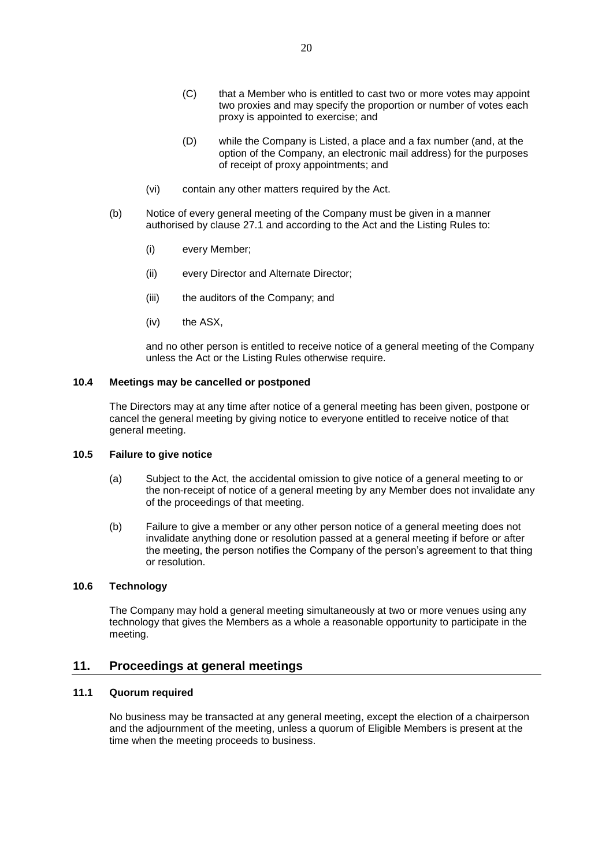- (C) that a Member who is entitled to cast two or more votes may appoint two proxies and may specify the proportion or number of votes each proxy is appointed to exercise; and
- (D) while the Company is Listed, a place and a fax number (and, at the option of the Company, an electronic mail address) for the purposes of receipt of proxy appointments; and
- (vi) contain any other matters required by the Act.
- (b) Notice of every general meeting of the Company must be given in a manner authorised by clause [27.1](#page-44-0) and according to the Act and the Listing Rules to:
	- (i) every Member;
	- (ii) every Director and Alternate Director;
	- (iii) the auditors of the Company; and
	- (iv) the ASX,

and no other person is entitled to receive notice of a general meeting of the Company unless the Act or the Listing Rules otherwise require.

## **10.4 Meetings may be cancelled or postponed**

The Directors may at any time after notice of a general meeting has been given, postpone or cancel the general meeting by giving notice to everyone entitled to receive notice of that general meeting.

### **10.5 Failure to give notice**

- (a) Subject to the Act, the accidental omission to give notice of a general meeting to or the non-receipt of notice of a general meeting by any Member does not invalidate any of the proceedings of that meeting.
- (b) Failure to give a member or any other person notice of a general meeting does not invalidate anything done or resolution passed at a general meeting if before or after the meeting, the person notifies the Company of the person's agreement to that thing or resolution.

### **10.6 Technology**

The Company may hold a general meeting simultaneously at two or more venues using any technology that gives the Members as a whole a reasonable opportunity to participate in the meeting.

# **11. Proceedings at general meetings**

# **11.1 Quorum required**

No business may be transacted at any general meeting, except the election of a chairperson and the adjournment of the meeting, unless a quorum of Eligible Members is present at the time when the meeting proceeds to business.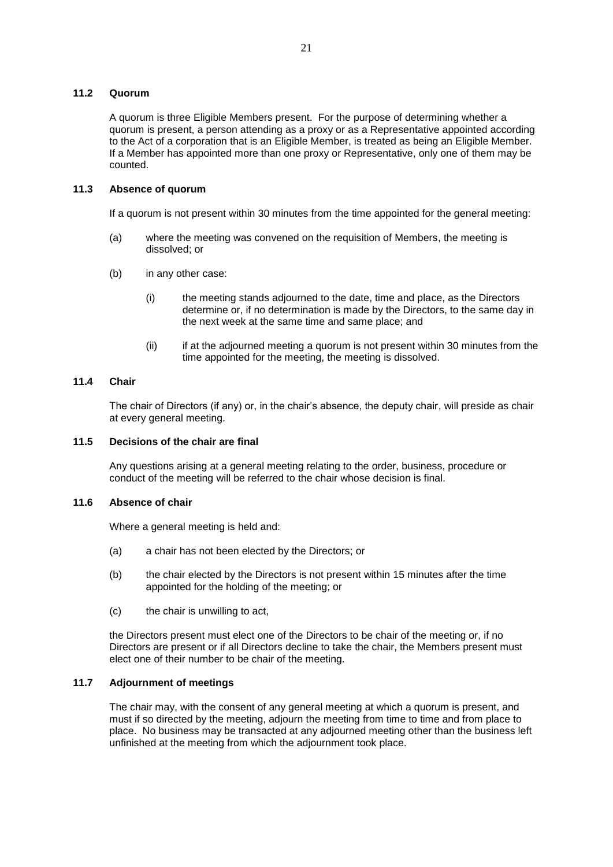### **11.2 Quorum**

A quorum is three Eligible Members present. For the purpose of determining whether a quorum is present, a person attending as a proxy or as a Representative appointed according to the Act of a corporation that is an Eligible Member, is treated as being an Eligible Member. If a Member has appointed more than one proxy or Representative, only one of them may be counted.

# **11.3 Absence of quorum**

If a quorum is not present within 30 minutes from the time appointed for the general meeting:

- (a) where the meeting was convened on the requisition of Members, the meeting is dissolved; or
- (b) in any other case:
	- (i) the meeting stands adjourned to the date, time and place, as the Directors determine or, if no determination is made by the Directors, to the same day in the next week at the same time and same place; and
	- (ii) if at the adjourned meeting a quorum is not present within 30 minutes from the time appointed for the meeting, the meeting is dissolved.

### **11.4 Chair**

The chair of Directors (if any) or, in the chair's absence, the deputy chair, will preside as chair at every general meeting.

### **11.5 Decisions of the chair are final**

Any questions arising at a general meeting relating to the order, business, procedure or conduct of the meeting will be referred to the chair whose decision is final.

## **11.6 Absence of chair**

Where a general meeting is held and:

- (a) a chair has not been elected by the Directors; or
- (b) the chair elected by the Directors is not present within 15 minutes after the time appointed for the holding of the meeting; or
- (c) the chair is unwilling to act,

the Directors present must elect one of the Directors to be chair of the meeting or, if no Directors are present or if all Directors decline to take the chair, the Members present must elect one of their number to be chair of the meeting.

# **11.7 Adjournment of meetings**

The chair may, with the consent of any general meeting at which a quorum is present, and must if so directed by the meeting, adjourn the meeting from time to time and from place to place. No business may be transacted at any adjourned meeting other than the business left unfinished at the meeting from which the adjournment took place.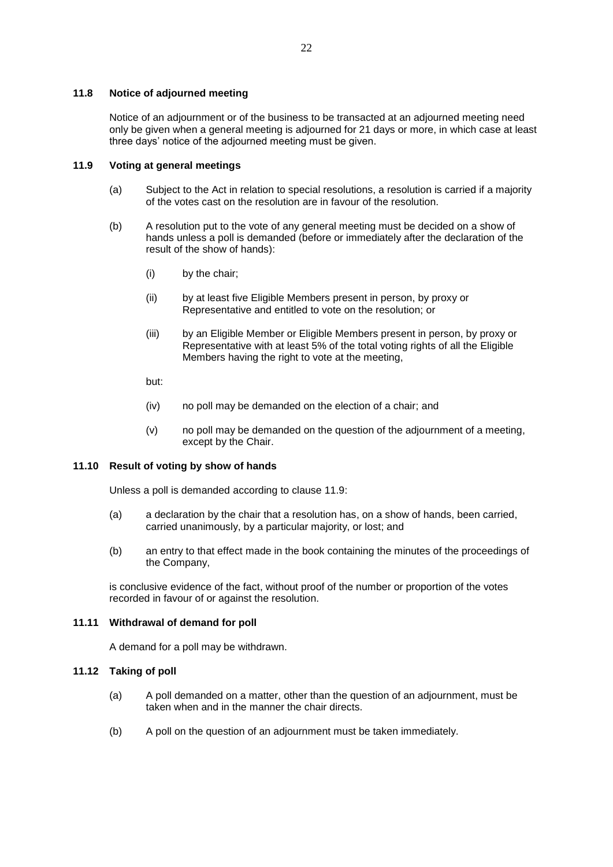### **11.8 Notice of adjourned meeting**

Notice of an adjournment or of the business to be transacted at an adjourned meeting need only be given when a general meeting is adjourned for 21 days or more, in which case at least three days' notice of the adjourned meeting must be given.

# <span id="page-22-0"></span>**11.9 Voting at general meetings**

- (a) Subject to the Act in relation to special resolutions, a resolution is carried if a majority of the votes cast on the resolution are in favour of the resolution.
- (b) A resolution put to the vote of any general meeting must be decided on a show of hands unless a poll is demanded (before or immediately after the declaration of the result of the show of hands):
	- (i) by the chair;
	- (ii) by at least five Eligible Members present in person, by proxy or Representative and entitled to vote on the resolution; or
	- (iii) by an Eligible Member or Eligible Members present in person, by proxy or Representative with at least 5% of the total voting rights of all the Eligible Members having the right to vote at the meeting,
	- but:
	- (iv) no poll may be demanded on the election of a chair; and
	- (v) no poll may be demanded on the question of the adjournment of a meeting, except by the Chair.

## **11.10 Result of voting by show of hands**

Unless a poll is demanded according to clause [11.9:](#page-22-0)

- (a) a declaration by the chair that a resolution has, on a show of hands, been carried, carried unanimously, by a particular majority, or lost; and
- (b) an entry to that effect made in the book containing the minutes of the proceedings of the Company,

is conclusive evidence of the fact, without proof of the number or proportion of the votes recorded in favour of or against the resolution.

#### **11.11 Withdrawal of demand for poll**

A demand for a poll may be withdrawn.

# **11.12 Taking of poll**

- (a) A poll demanded on a matter, other than the question of an adjournment, must be taken when and in the manner the chair directs.
- (b) A poll on the question of an adjournment must be taken immediately.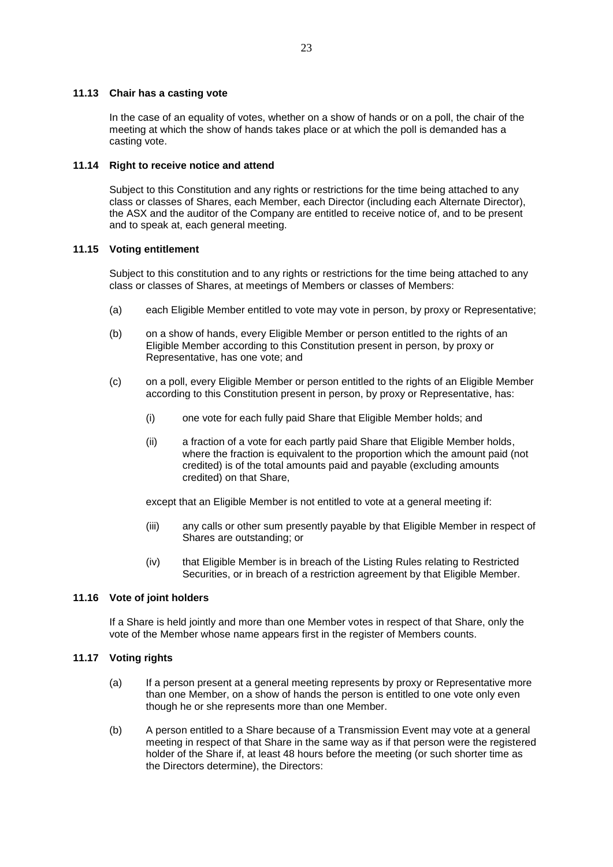## **11.13 Chair has a casting vote**

In the case of an equality of votes, whether on a show of hands or on a poll, the chair of the meeting at which the show of hands takes place or at which the poll is demanded has a casting vote.

## **11.14 Right to receive notice and attend**

Subject to this Constitution and any rights or restrictions for the time being attached to any class or classes of Shares, each Member, each Director (including each Alternate Director), the ASX and the auditor of the Company are entitled to receive notice of, and to be present and to speak at, each general meeting.

## **11.15 Voting entitlement**

Subject to this constitution and to any rights or restrictions for the time being attached to any class or classes of Shares, at meetings of Members or classes of Members:

- (a) each Eligible Member entitled to vote may vote in person, by proxy or Representative;
- (b) on a show of hands, every Eligible Member or person entitled to the rights of an Eligible Member according to this Constitution present in person, by proxy or Representative, has one vote; and
- (c) on a poll, every Eligible Member or person entitled to the rights of an Eligible Member according to this Constitution present in person, by proxy or Representative, has:
	- (i) one vote for each fully paid Share that Eligible Member holds; and
	- (ii) a fraction of a vote for each partly paid Share that Eligible Member holds, where the fraction is equivalent to the proportion which the amount paid (not credited) is of the total amounts paid and payable (excluding amounts credited) on that Share,

except that an Eligible Member is not entitled to vote at a general meeting if:

- (iii) any calls or other sum presently payable by that Eligible Member in respect of Shares are outstanding; or
- (iv) that Eligible Member is in breach of the Listing Rules relating to Restricted Securities, or in breach of a restriction agreement by that Eligible Member.

# **11.16 Vote of joint holders**

If a Share is held jointly and more than one Member votes in respect of that Share, only the vote of the Member whose name appears first in the register of Members counts.

### **11.17 Voting rights**

- (a) If a person present at a general meeting represents by proxy or Representative more than one Member, on a show of hands the person is entitled to one vote only even though he or she represents more than one Member.
- (b) A person entitled to a Share because of a Transmission Event may vote at a general meeting in respect of that Share in the same way as if that person were the registered holder of the Share if, at least 48 hours before the meeting (or such shorter time as the Directors determine), the Directors: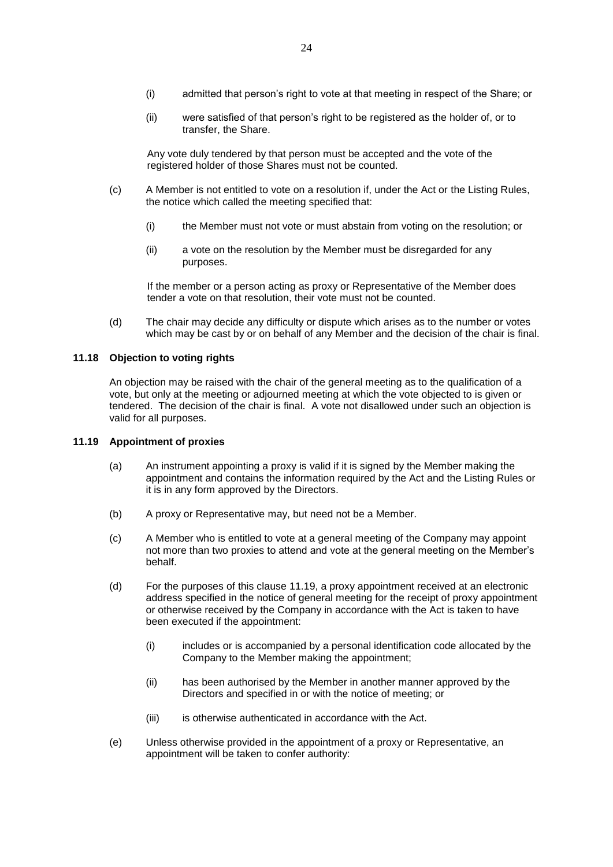- (i) admitted that person's right to vote at that meeting in respect of the Share; or
- (ii) were satisfied of that person's right to be registered as the holder of, or to transfer, the Share.

Any vote duly tendered by that person must be accepted and the vote of the registered holder of those Shares must not be counted.

- (c) A Member is not entitled to vote on a resolution if, under the Act or the Listing Rules, the notice which called the meeting specified that:
	- (i) the Member must not vote or must abstain from voting on the resolution; or
	- (ii) a vote on the resolution by the Member must be disregarded for any purposes.

If the member or a person acting as proxy or Representative of the Member does tender a vote on that resolution, their vote must not be counted.

(d) The chair may decide any difficulty or dispute which arises as to the number or votes which may be cast by or on behalf of any Member and the decision of the chair is final.

### **11.18 Objection to voting rights**

An objection may be raised with the chair of the general meeting as to the qualification of a vote, but only at the meeting or adjourned meeting at which the vote objected to is given or tendered. The decision of the chair is final. A vote not disallowed under such an objection is valid for all purposes.

### <span id="page-24-0"></span>**11.19 Appointment of proxies**

- (a) An instrument appointing a proxy is valid if it is signed by the Member making the appointment and contains the information required by the Act and the Listing Rules or it is in any form approved by the Directors.
- (b) A proxy or Representative may, but need not be a Member.
- (c) A Member who is entitled to vote at a general meeting of the Company may appoint not more than two proxies to attend and vote at the general meeting on the Member's behalf.
- (d) For the purposes of this clause [11.19,](#page-24-0) a proxy appointment received at an electronic address specified in the notice of general meeting for the receipt of proxy appointment or otherwise received by the Company in accordance with the Act is taken to have been executed if the appointment:
	- (i) includes or is accompanied by a personal identification code allocated by the Company to the Member making the appointment;
	- (ii) has been authorised by the Member in another manner approved by the Directors and specified in or with the notice of meeting; or
	- (iii) is otherwise authenticated in accordance with the Act.
- (e) Unless otherwise provided in the appointment of a proxy or Representative, an appointment will be taken to confer authority: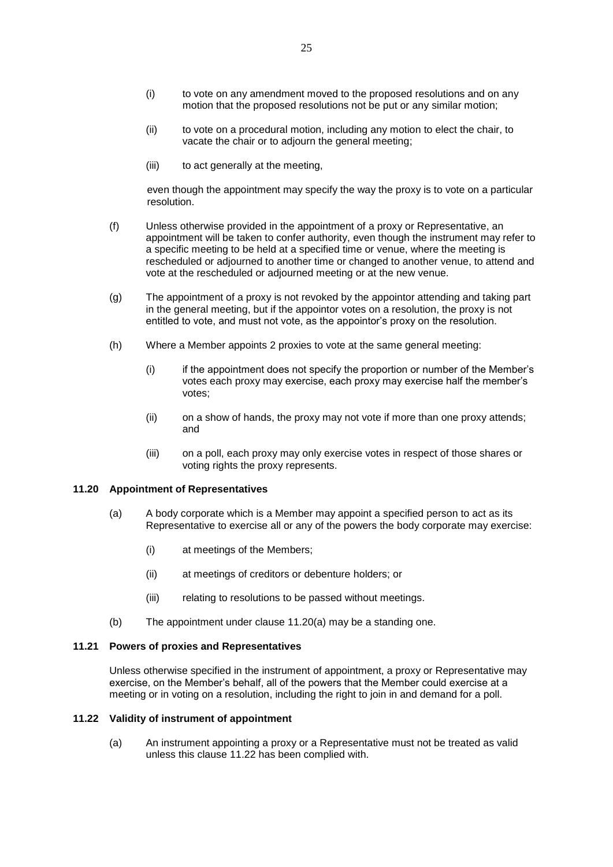- (i) to vote on any amendment moved to the proposed resolutions and on any motion that the proposed resolutions not be put or any similar motion;
- (ii) to vote on a procedural motion, including any motion to elect the chair, to vacate the chair or to adjourn the general meeting;
- (iii) to act generally at the meeting,

even though the appointment may specify the way the proxy is to vote on a particular resolution.

- (f) Unless otherwise provided in the appointment of a proxy or Representative, an appointment will be taken to confer authority, even though the instrument may refer to a specific meeting to be held at a specified time or venue, where the meeting is rescheduled or adjourned to another time or changed to another venue, to attend and vote at the rescheduled or adjourned meeting or at the new venue.
- (g) The appointment of a proxy is not revoked by the appointor attending and taking part in the general meeting, but if the appointor votes on a resolution, the proxy is not entitled to vote, and must not vote, as the appointor's proxy on the resolution.
- (h) Where a Member appoints 2 proxies to vote at the same general meeting:
	- (i) if the appointment does not specify the proportion or number of the Member's votes each proxy may exercise, each proxy may exercise half the member's votes;
	- (ii) on a show of hands, the proxy may not vote if more than one proxy attends; and
	- (iii) on a poll, each proxy may only exercise votes in respect of those shares or voting rights the proxy represents.

#### <span id="page-25-2"></span><span id="page-25-0"></span>**11.20 Appointment of Representatives**

- (a) A body corporate which is a Member may appoint a specified person to act as its Representative to exercise all or any of the powers the body corporate may exercise:
	- (i) at meetings of the Members;
	- (ii) at meetings of creditors or debenture holders; or
	- (iii) relating to resolutions to be passed without meetings.
- (b) The appointment under clause [11.20\(a\)](#page-25-0) may be a standing one.

#### **11.21 Powers of proxies and Representatives**

Unless otherwise specified in the instrument of appointment, a proxy or Representative may exercise, on the Member's behalf, all of the powers that the Member could exercise at a meeting or in voting on a resolution, including the right to join in and demand for a poll.

#### <span id="page-25-1"></span>**11.22 Validity of instrument of appointment**

(a) An instrument appointing a proxy or a Representative must not be treated as valid unless this clause [11.22](#page-25-1) has been complied with.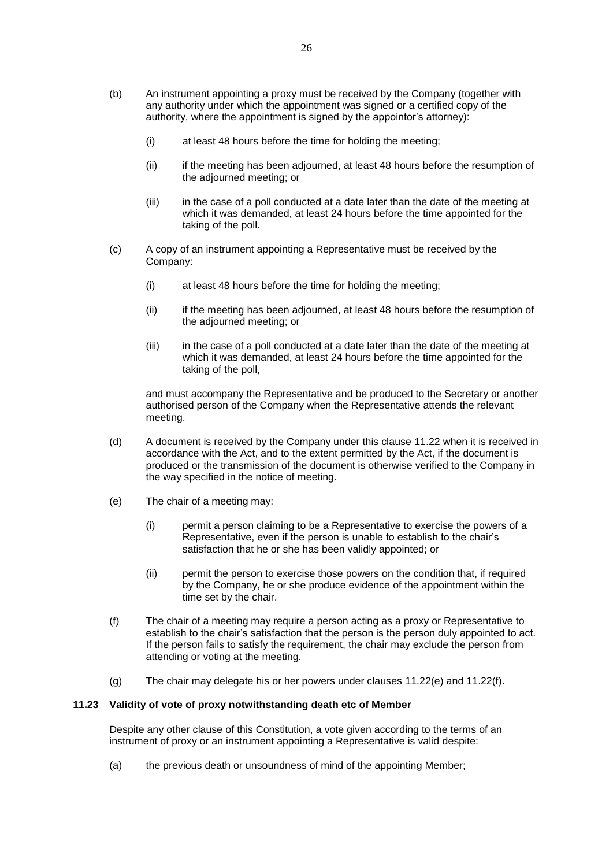- (b) An instrument appointing a proxy must be received by the Company (together with any authority under which the appointment was signed or a certified copy of the authority, where the appointment is signed by the appointor's attorney):
	- (i) at least 48 hours before the time for holding the meeting;
	- (ii) if the meeting has been adjourned, at least 48 hours before the resumption of the adjourned meeting; or
	- (iii) in the case of a poll conducted at a date later than the date of the meeting at which it was demanded, at least 24 hours before the time appointed for the taking of the poll.
- (c) A copy of an instrument appointing a Representative must be received by the Company:
	- (i) at least 48 hours before the time for holding the meeting;
	- (ii) if the meeting has been adjourned, at least 48 hours before the resumption of the adjourned meeting; or
	- (iii) in the case of a poll conducted at a date later than the date of the meeting at which it was demanded, at least 24 hours before the time appointed for the taking of the poll,

and must accompany the Representative and be produced to the Secretary or another authorised person of the Company when the Representative attends the relevant meeting.

- (d) A document is received by the Company under this clause [11.22](#page-25-1) when it is received in accordance with the Act, and to the extent permitted by the Act, if the document is produced or the transmission of the document is otherwise verified to the Company in the way specified in the notice of meeting.
- <span id="page-26-0"></span>(e) The chair of a meeting may:
	- (i) permit a person claiming to be a Representative to exercise the powers of a Representative, even if the person is unable to establish to the chair's satisfaction that he or she has been validly appointed; or
	- (ii) permit the person to exercise those powers on the condition that, if required by the Company, he or she produce evidence of the appointment within the time set by the chair.
- <span id="page-26-1"></span>(f) The chair of a meeting may require a person acting as a proxy or Representative to establish to the chair's satisfaction that the person is the person duly appointed to act. If the person fails to satisfy the requirement, the chair may exclude the person from attending or voting at the meeting.
- (g) The chair may delegate his or her powers under clauses [11.22\(e\)](#page-26-0) and [11.22\(f\).](#page-26-1)

# **11.23 Validity of vote of proxy notwithstanding death etc of Member**

Despite any other clause of this Constitution, a vote given according to the terms of an instrument of proxy or an instrument appointing a Representative is valid despite:

(a) the previous death or unsoundness of mind of the appointing Member;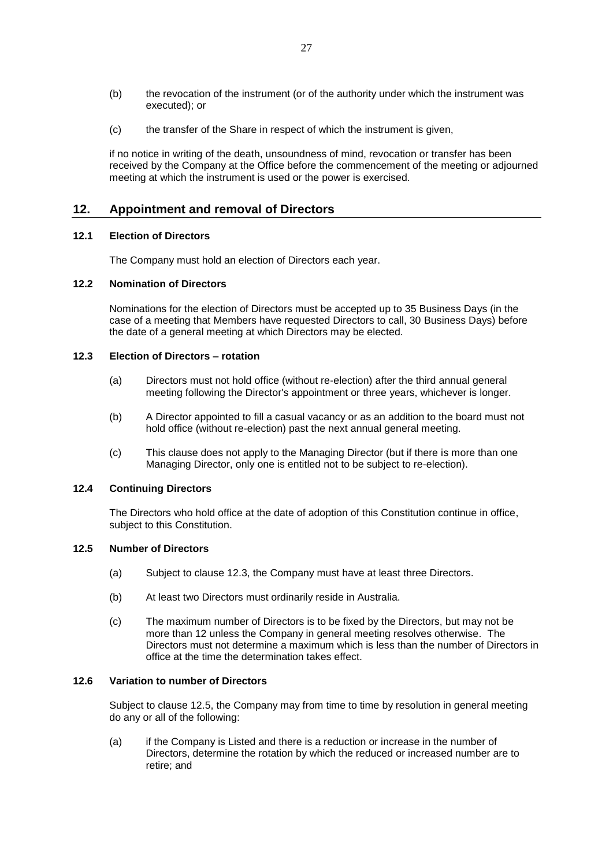- (b) the revocation of the instrument (or of the authority under which the instrument was executed); or
- (c) the transfer of the Share in respect of which the instrument is given,

if no notice in writing of the death, unsoundness of mind, revocation or transfer has been received by the Company at the Office before the commencement of the meeting or adjourned meeting at which the instrument is used or the power is exercised.

# **12. Appointment and removal of Directors**

# **12.1 Election of Directors**

The Company must hold an election of Directors each year.

# **12.2 Nomination of Directors**

Nominations for the election of Directors must be accepted up to 35 Business Days (in the case of a meeting that Members have requested Directors to call, 30 Business Days) before the date of a general meeting at which Directors may be elected.

# <span id="page-27-0"></span>**12.3 Election of Directors – rotation**

- (a) Directors must not hold office (without re-election) after the third annual general meeting following the Director's appointment or three years, whichever is longer.
- (b) A Director appointed to fill a casual vacancy or as an addition to the board must not hold office (without re-election) past the next annual general meeting.
- (c) This clause does not apply to the Managing Director (but if there is more than one Managing Director, only one is entitled not to be subject to re-election).

### **12.4 Continuing Directors**

The Directors who hold office at the date of adoption of this Constitution continue in office, subject to this Constitution.

# <span id="page-27-1"></span>**12.5 Number of Directors**

- (a) Subject to clause [12.3,](#page-27-0) the Company must have at least three Directors.
- (b) At least two Directors must ordinarily reside in Australia.
- (c) The maximum number of Directors is to be fixed by the Directors, but may not be more than 12 unless the Company in general meeting resolves otherwise. The Directors must not determine a maximum which is less than the number of Directors in office at the time the determination takes effect.

# **12.6 Variation to number of Directors**

Subject to clause [12.5,](#page-27-1) the Company may from time to time by resolution in general meeting do any or all of the following:

(a) if the Company is Listed and there is a reduction or increase in the number of Directors, determine the rotation by which the reduced or increased number are to retire; and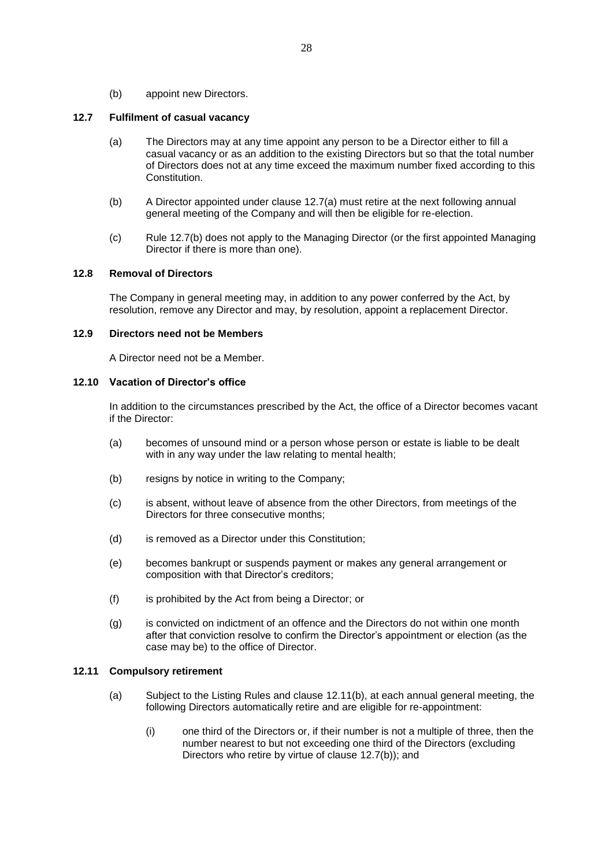(b) appoint new Directors.

## <span id="page-28-0"></span>**12.7 Fulfilment of casual vacancy**

- (a) The Directors may at any time appoint any person to be a Director either to fill a casual vacancy or as an addition to the existing Directors but so that the total number of Directors does not at any time exceed the maximum number fixed according to this **Constitution**
- <span id="page-28-1"></span>(b) A Director appointed under clause [12.7\(a\)](#page-28-0) must retire at the next following annual general meeting of the Company and will then be eligible for re-election.
- (c) Rule 12.7(b) does not apply to the Managing Director (or the first appointed Managing Director if there is more than one).

# **12.8 Removal of Directors**

The Company in general meeting may, in addition to any power conferred by the Act, by resolution, remove any Director and may, by resolution, appoint a replacement Director.

## **12.9 Directors need not be Members**

A Director need not be a Member.

# <span id="page-28-4"></span>**12.10 Vacation of Director's office**

In addition to the circumstances prescribed by the Act, the office of a Director becomes vacant if the Director:

- (a) becomes of unsound mind or a person whose person or estate is liable to be dealt with in any way under the law relating to mental health;
- (b) resigns by notice in writing to the Company;
- (c) is absent, without leave of absence from the other Directors, from meetings of the Directors for three consecutive months;
- (d) is removed as a Director under this Constitution;
- (e) becomes bankrupt or suspends payment or makes any general arrangement or composition with that Director's creditors;
- (f) is prohibited by the Act from being a Director; or
- (g) is convicted on indictment of an offence and the Directors do not within one month after that conviction resolve to confirm the Director's appointment or election (as the case may be) to the office of Director.

# <span id="page-28-3"></span>**12.11 Compulsory retirement**

- <span id="page-28-2"></span>(a) Subject to the Listing Rules and clause [12.11\(b\),](#page-29-0) at each annual general meeting, the following Directors automatically retire and are eligible for re-appointment:
	- (i) one third of the Directors or, if their number is not a multiple of three, then the number nearest to but not exceeding one third of the Directors (excluding Directors who retire by virtue of clause [12.7\(b\)\)](#page-28-1); and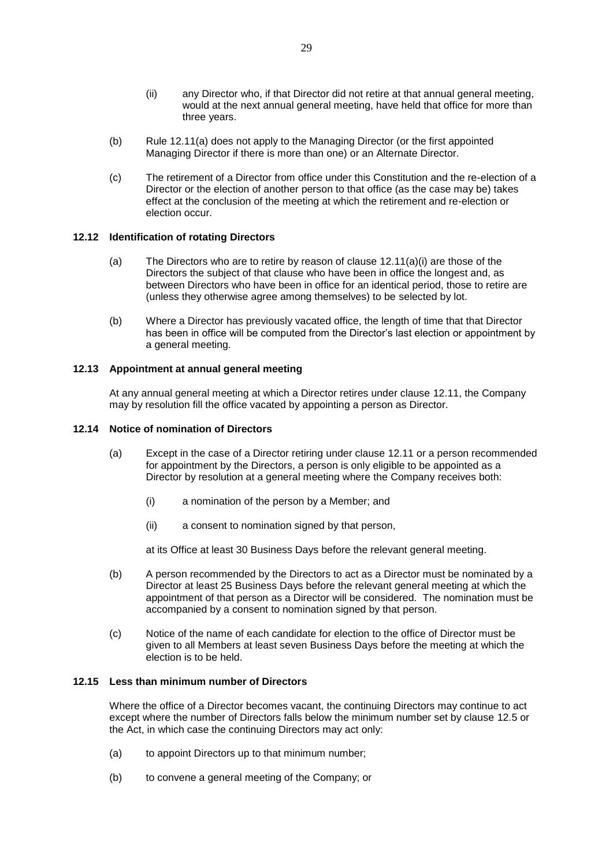- (ii) any Director who, if that Director did not retire at that annual general meeting, would at the next annual general meeting, have held that office for more than three years.
- <span id="page-29-0"></span>(b) Rule 12.11(a) does not apply to the Managing Director (or the first appointed Managing Director if there is more than one) or an Alternate Director.
- (c) The retirement of a Director from office under this Constitution and the re-election of a Director or the election of another person to that office (as the case may be) takes effect at the conclusion of the meeting at which the retirement and re-election or election occur.

### **12.12 Identification of rotating Directors**

- (a) The Directors who are to retire by reason of clause  $12.11(a)(i)$  are those of the Directors the subject of that clause who have been in office the longest and, as between Directors who have been in office for an identical period, those to retire are (unless they otherwise agree among themselves) to be selected by lot.
- (b) Where a Director has previously vacated office, the length of time that that Director has been in office will be computed from the Director's last election or appointment by a general meeting.

## **12.13 Appointment at annual general meeting**

At any annual general meeting at which a Director retires under clause [12.11,](#page-28-3) the Company may by resolution fill the office vacated by appointing a person as Director.

## **12.14 Notice of nomination of Directors**

- (a) Except in the case of a Director retiring under clause [12.11](#page-28-3) or a person recommended for appointment by the Directors, a person is only eligible to be appointed as a Director by resolution at a general meeting where the Company receives both:
	- (i) a nomination of the person by a Member; and
	- (ii) a consent to nomination signed by that person,

at its Office at least 30 Business Days before the relevant general meeting.

- (b) A person recommended by the Directors to act as a Director must be nominated by a Director at least 25 Business Days before the relevant general meeting at which the appointment of that person as a Director will be considered. The nomination must be accompanied by a consent to nomination signed by that person.
- (c) Notice of the name of each candidate for election to the office of Director must be given to all Members at least seven Business Days before the meeting at which the election is to be held.

## **12.15 Less than minimum number of Directors**

Where the office of a Director becomes vacant, the continuing Directors may continue to act except where the number of Directors falls below the minimum number set by clause [12.5](#page-27-1) or the Act, in which case the continuing Directors may act only:

- (a) to appoint Directors up to that minimum number;
- (b) to convene a general meeting of the Company; or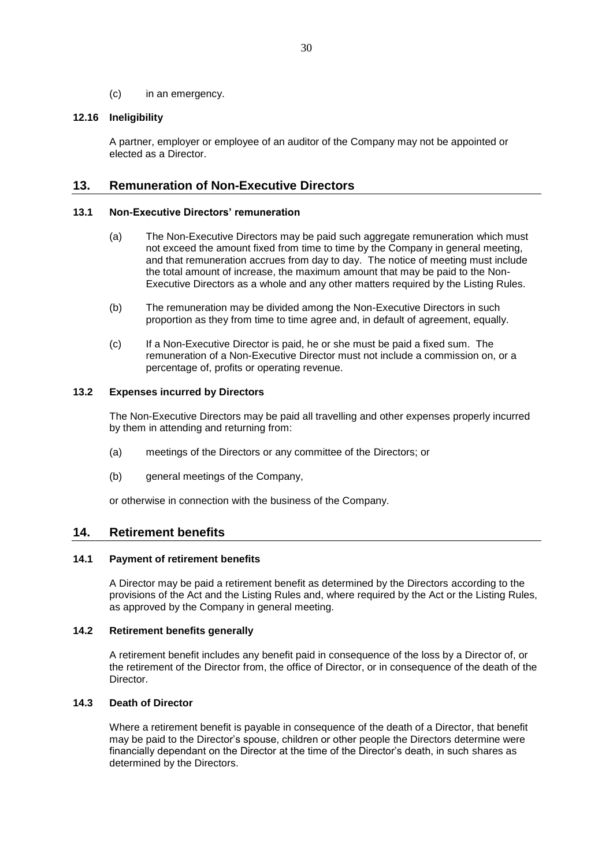(c) in an emergency.

# **12.16 Ineligibility**

A partner, employer or employee of an auditor of the Company may not be appointed or elected as a Director.

# **13. Remuneration of Non-Executive Directors**

## **13.1 Non-Executive Directors' remuneration**

- (a) The Non-Executive Directors may be paid such aggregate remuneration which must not exceed the amount fixed from time to time by the Company in general meeting, and that remuneration accrues from day to day. The notice of meeting must include the total amount of increase, the maximum amount that may be paid to the Non-Executive Directors as a whole and any other matters required by the Listing Rules.
- (b) The remuneration may be divided among the Non-Executive Directors in such proportion as they from time to time agree and, in default of agreement, equally.
- (c) If a Non-Executive Director is paid, he or she must be paid a fixed sum. The remuneration of a Non-Executive Director must not include a commission on, or a percentage of, profits or operating revenue.

## **13.2 Expenses incurred by Directors**

The Non-Executive Directors may be paid all travelling and other expenses properly incurred by them in attending and returning from:

- (a) meetings of the Directors or any committee of the Directors; or
- (b) general meetings of the Company,

or otherwise in connection with the business of the Company.

# <span id="page-30-0"></span>**14. Retirement benefits**

# **14.1 Payment of retirement benefits**

A Director may be paid a retirement benefit as determined by the Directors according to the provisions of the Act and the Listing Rules and, where required by the Act or the Listing Rules, as approved by the Company in general meeting.

## **14.2 Retirement benefits generally**

A retirement benefit includes any benefit paid in consequence of the loss by a Director of, or the retirement of the Director from, the office of Director, or in consequence of the death of the Director.

### **14.3 Death of Director**

Where a retirement benefit is payable in consequence of the death of a Director, that benefit may be paid to the Director's spouse, children or other people the Directors determine were financially dependant on the Director at the time of the Director's death, in such shares as determined by the Directors.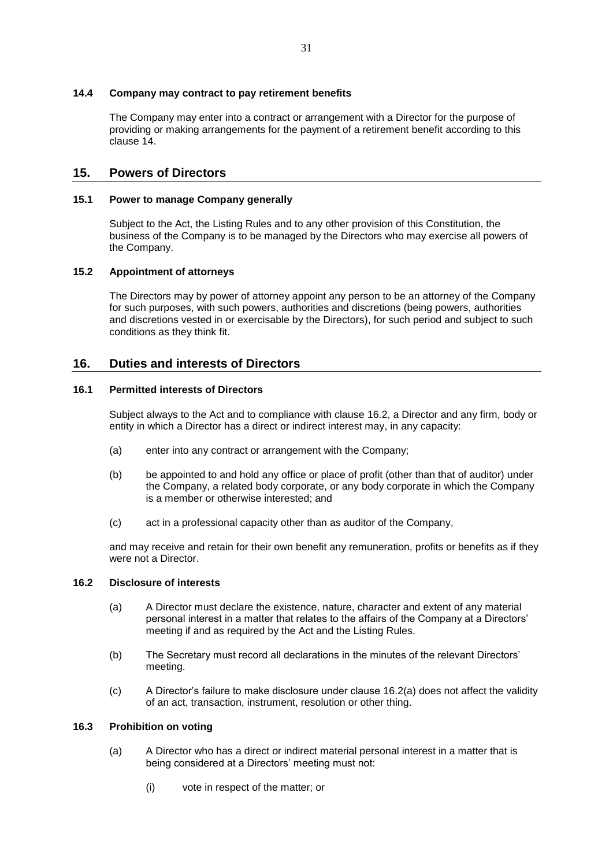## **14.4 Company may contract to pay retirement benefits**

The Company may enter into a contract or arrangement with a Director for the purpose of providing or making arrangements for the payment of a retirement benefit according to this clause [14.](#page-30-0)

# **15. Powers of Directors**

## **15.1 Power to manage Company generally**

Subject to the Act, the Listing Rules and to any other provision of this Constitution, the business of the Company is to be managed by the Directors who may exercise all powers of the Company.

## **15.2 Appointment of attorneys**

The Directors may by power of attorney appoint any person to be an attorney of the Company for such purposes, with such powers, authorities and discretions (being powers, authorities and discretions vested in or exercisable by the Directors), for such period and subject to such conditions as they think fit.

# <span id="page-31-3"></span>**16. Duties and interests of Directors**

## **16.1 Permitted interests of Directors**

Subject always to the Act and to compliance with clause [16.2,](#page-31-0) a Director and any firm, body or entity in which a Director has a direct or indirect interest may, in any capacity:

- (a) enter into any contract or arrangement with the Company;
- (b) be appointed to and hold any office or place of profit (other than that of auditor) under the Company, a related body corporate, or any body corporate in which the Company is a member or otherwise interested; and
- (c) act in a professional capacity other than as auditor of the Company,

and may receive and retain for their own benefit any remuneration, profits or benefits as if they were not a Director.

## <span id="page-31-1"></span><span id="page-31-0"></span>**16.2 Disclosure of interests**

- (a) A Director must declare the existence, nature, character and extent of any material personal interest in a matter that relates to the affairs of the Company at a Directors' meeting if and as required by the Act and the Listing Rules.
- (b) The Secretary must record all declarations in the minutes of the relevant Directors' meeting.
- (c) A Director's failure to make disclosure under clause [16.2\(a\)](#page-31-1) does not affect the validity of an act, transaction, instrument, resolution or other thing.

# <span id="page-31-2"></span>**16.3 Prohibition on voting**

- (a) A Director who has a direct or indirect material personal interest in a matter that is being considered at a Directors' meeting must not:
	- (i) vote in respect of the matter; or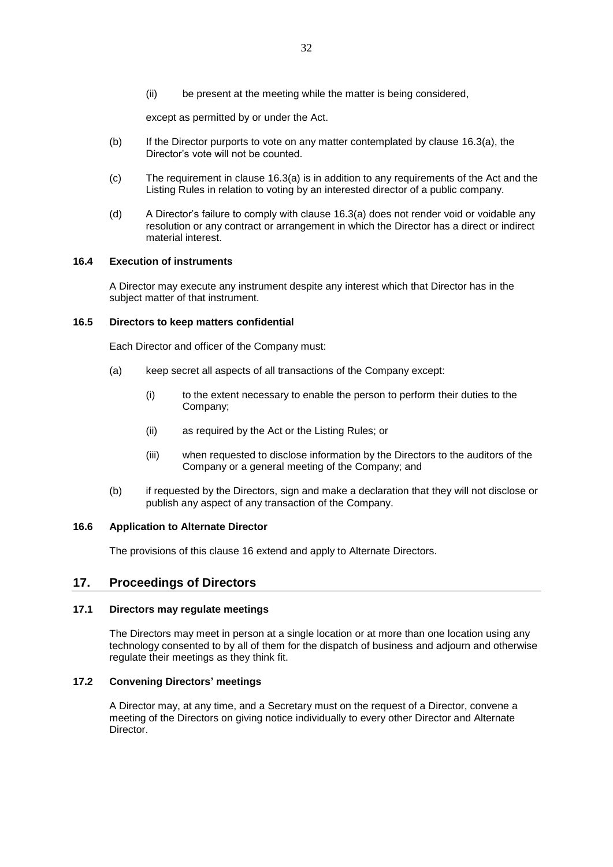(ii) be present at the meeting while the matter is being considered,

except as permitted by or under the Act.

- (b) If the Director purports to vote on any matter contemplated by clause [16.3\(a\),](#page-31-2) the Director's vote will not be counted.
- (c) The requirement in clause [16.3\(a\)](#page-31-2) is in addition to any requirements of the Act and the Listing Rules in relation to voting by an interested director of a public company.
- (d) A Director's failure to comply with clause [16.3\(a\)](#page-31-2) does not render void or voidable any resolution or any contract or arrangement in which the Director has a direct or indirect material interest.

## **16.4 Execution of instruments**

A Director may execute any instrument despite any interest which that Director has in the subject matter of that instrument.

## **16.5 Directors to keep matters confidential**

Each Director and officer of the Company must:

- (a) keep secret all aspects of all transactions of the Company except:
	- (i) to the extent necessary to enable the person to perform their duties to the Company;
	- (ii) as required by the Act or the Listing Rules; or
	- (iii) when requested to disclose information by the Directors to the auditors of the Company or a general meeting of the Company; and
- (b) if requested by the Directors, sign and make a declaration that they will not disclose or publish any aspect of any transaction of the Company.

#### **16.6 Application to Alternate Director**

The provisions of this clause [16](#page-31-3) extend and apply to Alternate Directors.

# **17. Proceedings of Directors**

### **17.1 Directors may regulate meetings**

The Directors may meet in person at a single location or at more than one location using any technology consented to by all of them for the dispatch of business and adjourn and otherwise regulate their meetings as they think fit.

# **17.2 Convening Directors' meetings**

A Director may, at any time, and a Secretary must on the request of a Director, convene a meeting of the Directors on giving notice individually to every other Director and Alternate Director.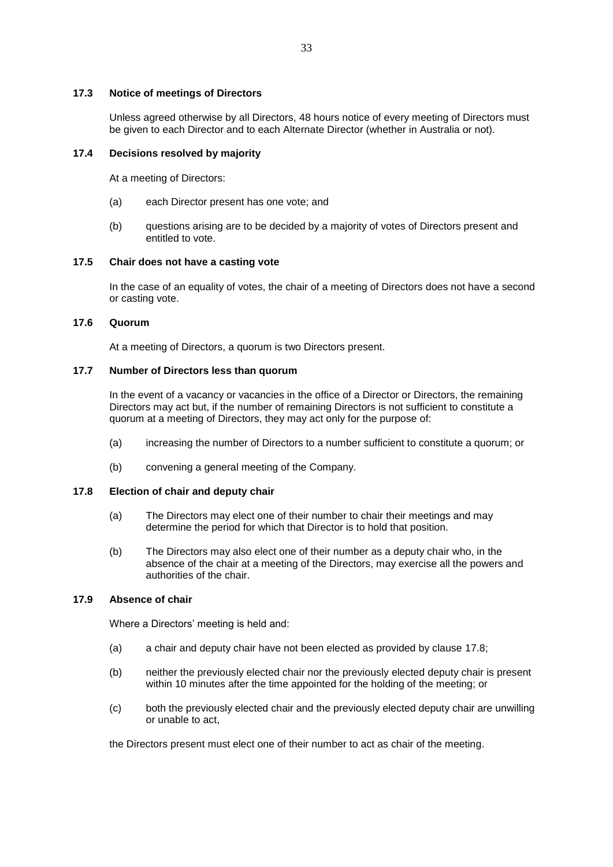## **17.3 Notice of meetings of Directors**

Unless agreed otherwise by all Directors, 48 hours notice of every meeting of Directors must be given to each Director and to each Alternate Director (whether in Australia or not).

## **17.4 Decisions resolved by majority**

At a meeting of Directors:

- (a) each Director present has one vote; and
- (b) questions arising are to be decided by a majority of votes of Directors present and entitled to vote.

# **17.5 Chair does not have a casting vote**

In the case of an equality of votes, the chair of a meeting of Directors does not have a second or casting vote.

# **17.6 Quorum**

At a meeting of Directors, a quorum is two Directors present.

# **17.7 Number of Directors less than quorum**

In the event of a vacancy or vacancies in the office of a Director or Directors, the remaining Directors may act but, if the number of remaining Directors is not sufficient to constitute a quorum at a meeting of Directors, they may act only for the purpose of:

- (a) increasing the number of Directors to a number sufficient to constitute a quorum; or
- (b) convening a general meeting of the Company.

### <span id="page-33-0"></span>**17.8 Election of chair and deputy chair**

- (a) The Directors may elect one of their number to chair their meetings and may determine the period for which that Director is to hold that position.
- (b) The Directors may also elect one of their number as a deputy chair who, in the absence of the chair at a meeting of the Directors, may exercise all the powers and authorities of the chair.

# **17.9 Absence of chair**

Where a Directors' meeting is held and:

- (a) a chair and deputy chair have not been elected as provided by clause [17.8;](#page-33-0)
- (b) neither the previously elected chair nor the previously elected deputy chair is present within 10 minutes after the time appointed for the holding of the meeting; or
- (c) both the previously elected chair and the previously elected deputy chair are unwilling or unable to act,

the Directors present must elect one of their number to act as chair of the meeting.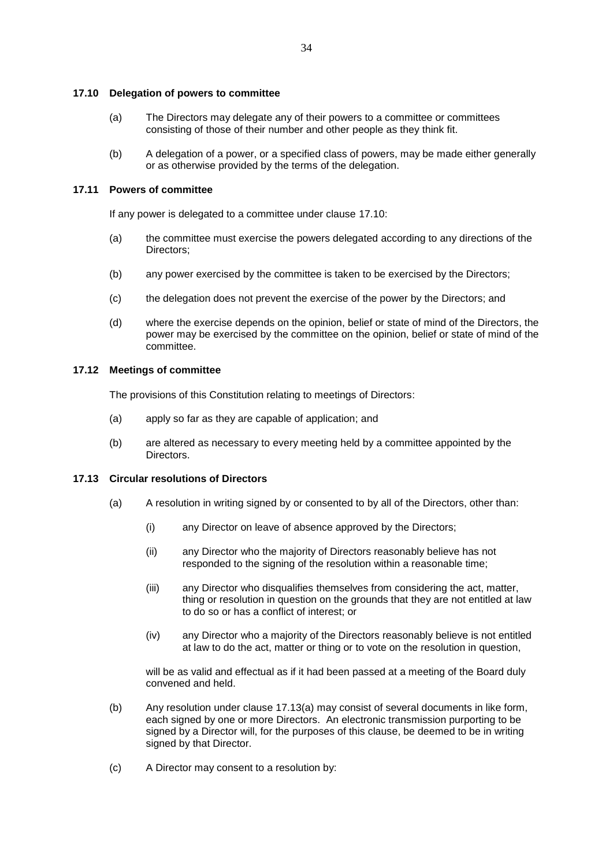#### <span id="page-34-0"></span>**17.10 Delegation of powers to committee**

- (a) The Directors may delegate any of their powers to a committee or committees consisting of those of their number and other people as they think fit.
- (b) A delegation of a power, or a specified class of powers, may be made either generally or as otherwise provided by the terms of the delegation.

## **17.11 Powers of committee**

If any power is delegated to a committee under clause [17.10:](#page-34-0)

- (a) the committee must exercise the powers delegated according to any directions of the Directors;
- (b) any power exercised by the committee is taken to be exercised by the Directors;
- (c) the delegation does not prevent the exercise of the power by the Directors; and
- (d) where the exercise depends on the opinion, belief or state of mind of the Directors, the power may be exercised by the committee on the opinion, belief or state of mind of the committee.

#### **17.12 Meetings of committee**

The provisions of this Constitution relating to meetings of Directors:

- (a) apply so far as they are capable of application; and
- (b) are altered as necessary to every meeting held by a committee appointed by the Directors.

## <span id="page-34-1"></span>**17.13 Circular resolutions of Directors**

- (a) A resolution in writing signed by or consented to by all of the Directors, other than:
	- (i) any Director on leave of absence approved by the Directors;
	- (ii) any Director who the majority of Directors reasonably believe has not responded to the signing of the resolution within a reasonable time;
	- (iii) any Director who disqualifies themselves from considering the act, matter, thing or resolution in question on the grounds that they are not entitled at law to do so or has a conflict of interest; or
	- (iv) any Director who a majority of the Directors reasonably believe is not entitled at law to do the act, matter or thing or to vote on the resolution in question,

will be as valid and effectual as if it had been passed at a meeting of the Board duly convened and held.

- (b) Any resolution under clause [17.13\(a\)](#page-34-1) may consist of several documents in like form, each signed by one or more Directors. An electronic transmission purporting to be signed by a Director will, for the purposes of this clause, be deemed to be in writing signed by that Director.
- (c) A Director may consent to a resolution by: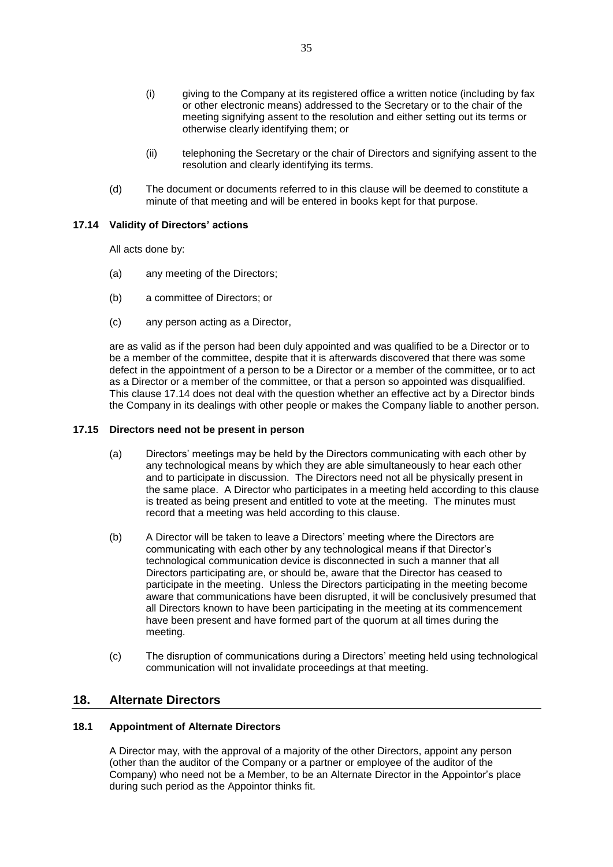- (i) giving to the Company at its registered office a written notice (including by fax or other electronic means) addressed to the Secretary or to the chair of the meeting signifying assent to the resolution and either setting out its terms or otherwise clearly identifying them; or
- (ii) telephoning the Secretary or the chair of Directors and signifying assent to the resolution and clearly identifying its terms.
- (d) The document or documents referred to in this clause will be deemed to constitute a minute of that meeting and will be entered in books kept for that purpose.

## <span id="page-35-0"></span>**17.14 Validity of Directors' actions**

All acts done by:

- (a) any meeting of the Directors;
- (b) a committee of Directors; or
- (c) any person acting as a Director,

are as valid as if the person had been duly appointed and was qualified to be a Director or to be a member of the committee, despite that it is afterwards discovered that there was some defect in the appointment of a person to be a Director or a member of the committee, or to act as a Director or a member of the committee, or that a person so appointed was disqualified. This clause [17.14](#page-35-0) does not deal with the question whether an effective act by a Director binds the Company in its dealings with other people or makes the Company liable to another person.

#### **17.15 Directors need not be present in person**

- (a) Directors' meetings may be held by the Directors communicating with each other by any technological means by which they are able simultaneously to hear each other and to participate in discussion. The Directors need not all be physically present in the same place. A Director who participates in a meeting held according to this clause is treated as being present and entitled to vote at the meeting. The minutes must record that a meeting was held according to this clause.
- (b) A Director will be taken to leave a Directors' meeting where the Directors are communicating with each other by any technological means if that Director's technological communication device is disconnected in such a manner that all Directors participating are, or should be, aware that the Director has ceased to participate in the meeting. Unless the Directors participating in the meeting become aware that communications have been disrupted, it will be conclusively presumed that all Directors known to have been participating in the meeting at its commencement have been present and have formed part of the quorum at all times during the meeting.
- (c) The disruption of communications during a Directors' meeting held using technological communication will not invalidate proceedings at that meeting.

# **18. Alternate Directors**

# <span id="page-35-1"></span>**18.1 Appointment of Alternate Directors**

A Director may, with the approval of a majority of the other Directors, appoint any person (other than the auditor of the Company or a partner or employee of the auditor of the Company) who need not be a Member, to be an Alternate Director in the Appointor's place during such period as the Appointor thinks fit.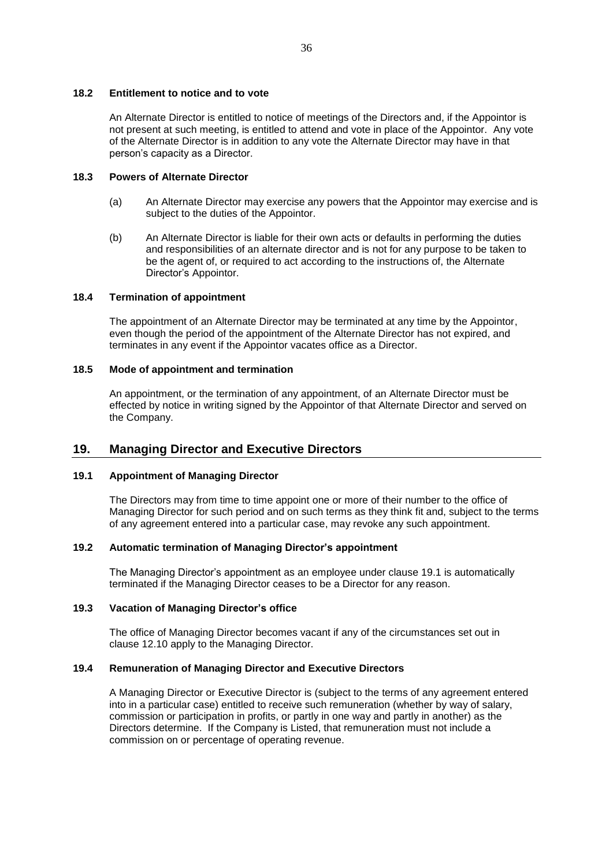#### **18.2 Entitlement to notice and to vote**

An Alternate Director is entitled to notice of meetings of the Directors and, if the Appointor is not present at such meeting, is entitled to attend and vote in place of the Appointor. Any vote of the Alternate Director is in addition to any vote the Alternate Director may have in that person's capacity as a Director.

## **18.3 Powers of Alternate Director**

- (a) An Alternate Director may exercise any powers that the Appointor may exercise and is subject to the duties of the Appointor.
- (b) An Alternate Director is liable for their own acts or defaults in performing the duties and responsibilities of an alternate director and is not for any purpose to be taken to be the agent of, or required to act according to the instructions of, the Alternate Director's Appointor.

### **18.4 Termination of appointment**

The appointment of an Alternate Director may be terminated at any time by the Appointor, even though the period of the appointment of the Alternate Director has not expired, and terminates in any event if the Appointor vacates office as a Director.

## **18.5 Mode of appointment and termination**

An appointment, or the termination of any appointment, of an Alternate Director must be effected by notice in writing signed by the Appointor of that Alternate Director and served on the Company.

# **19. Managing Director and Executive Directors**

### <span id="page-36-0"></span>**19.1 Appointment of Managing Director**

The Directors may from time to time appoint one or more of their number to the office of Managing Director for such period and on such terms as they think fit and, subject to the terms of any agreement entered into a particular case, may revoke any such appointment.

## **19.2 Automatic termination of Managing Director's appointment**

The Managing Director's appointment as an employee under clause [19.1](#page-36-0) is automatically terminated if the Managing Director ceases to be a Director for any reason.

# **19.3 Vacation of Managing Director's office**

The office of Managing Director becomes vacant if any of the circumstances set out in clause [12.10](#page-28-4) apply to the Managing Director.

#### **19.4 Remuneration of Managing Director and Executive Directors**

A Managing Director or Executive Director is (subject to the terms of any agreement entered into in a particular case) entitled to receive such remuneration (whether by way of salary, commission or participation in profits, or partly in one way and partly in another) as the Directors determine. If the Company is Listed, that remuneration must not include a commission on or percentage of operating revenue.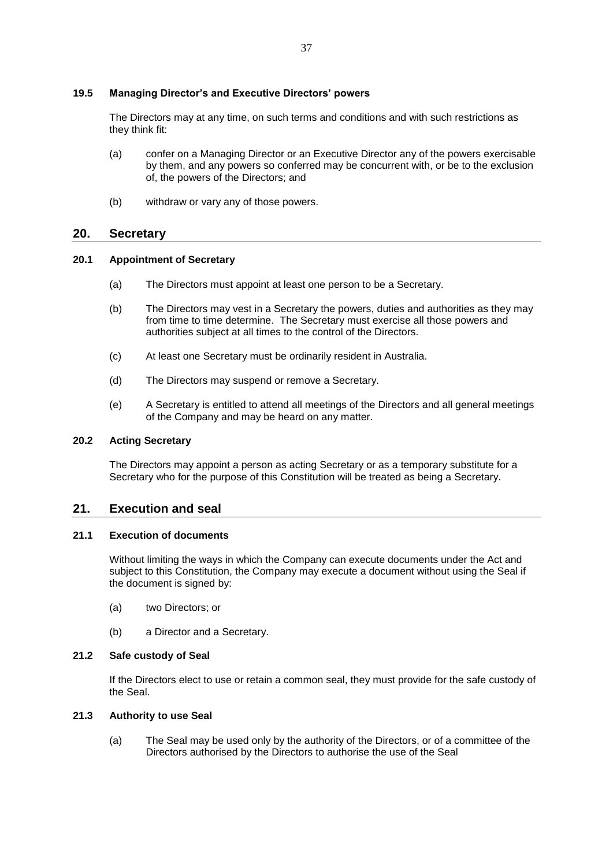# **19.5 Managing Director's and Executive Directors' powers**

The Directors may at any time, on such terms and conditions and with such restrictions as they think fit:

- (a) confer on a Managing Director or an Executive Director any of the powers exercisable by them, and any powers so conferred may be concurrent with, or be to the exclusion of, the powers of the Directors; and
- (b) withdraw or vary any of those powers.

# **20. Secretary**

### **20.1 Appointment of Secretary**

- (a) The Directors must appoint at least one person to be a Secretary.
- (b) The Directors may vest in a Secretary the powers, duties and authorities as they may from time to time determine. The Secretary must exercise all those powers and authorities subject at all times to the control of the Directors.
- (c) At least one Secretary must be ordinarily resident in Australia.
- (d) The Directors may suspend or remove a Secretary.
- (e) A Secretary is entitled to attend all meetings of the Directors and all general meetings of the Company and may be heard on any matter.

# **20.2 Acting Secretary**

The Directors may appoint a person as acting Secretary or as a temporary substitute for a Secretary who for the purpose of this Constitution will be treated as being a Secretary.

# **21. Execution and seal**

## **21.1 Execution of documents**

Without limiting the ways in which the Company can execute documents under the Act and subject to this Constitution, the Company may execute a document without using the Seal if the document is signed by:

- (a) two Directors; or
- (b) a Director and a Secretary.

### **21.2 Safe custody of Seal**

If the Directors elect to use or retain a common seal, they must provide for the safe custody of the Seal.

## **21.3 Authority to use Seal**

(a) The Seal may be used only by the authority of the Directors, or of a committee of the Directors authorised by the Directors to authorise the use of the Seal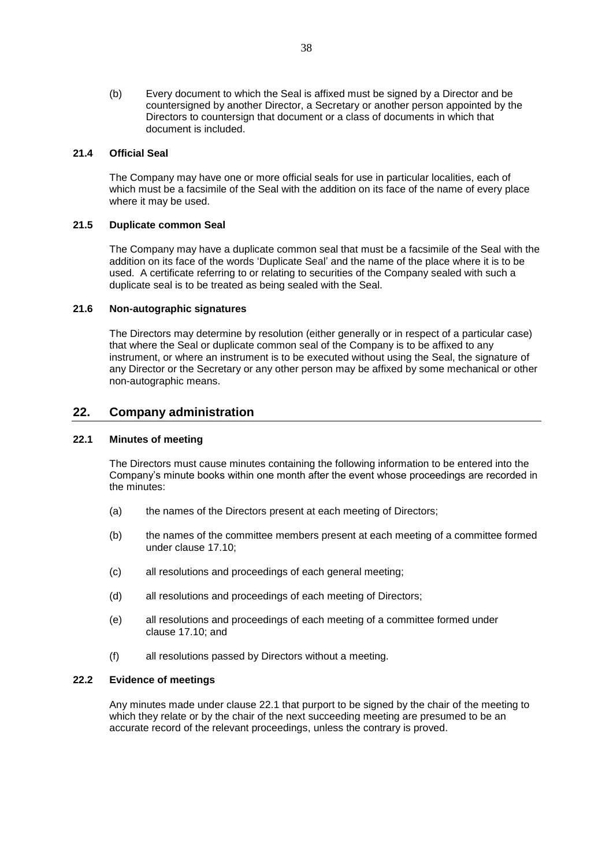(b) Every document to which the Seal is affixed must be signed by a Director and be countersigned by another Director, a Secretary or another person appointed by the Directors to countersign that document or a class of documents in which that document is included.

# **21.4 Official Seal**

The Company may have one or more official seals for use in particular localities, each of which must be a facsimile of the Seal with the addition on its face of the name of every place where it may be used.

## **21.5 Duplicate common Seal**

The Company may have a duplicate common seal that must be a facsimile of the Seal with the addition on its face of the words 'Duplicate Seal' and the name of the place where it is to be used. A certificate referring to or relating to securities of the Company sealed with such a duplicate seal is to be treated as being sealed with the Seal.

## **21.6 Non-autographic signatures**

The Directors may determine by resolution (either generally or in respect of a particular case) that where the Seal or duplicate common seal of the Company is to be affixed to any instrument, or where an instrument is to be executed without using the Seal, the signature of any Director or the Secretary or any other person may be affixed by some mechanical or other non-autographic means.

# **22. Company administration**

# <span id="page-38-0"></span>**22.1 Minutes of meeting**

The Directors must cause minutes containing the following information to be entered into the Company's minute books within one month after the event whose proceedings are recorded in the minutes:

- (a) the names of the Directors present at each meeting of Directors;
- (b) the names of the committee members present at each meeting of a committee formed under clause [17.10;](#page-34-0)
- (c) all resolutions and proceedings of each general meeting;
- (d) all resolutions and proceedings of each meeting of Directors;
- (e) all resolutions and proceedings of each meeting of a committee formed under clause [17.10;](#page-34-0) and
- (f) all resolutions passed by Directors without a meeting.

#### **22.2 Evidence of meetings**

Any minutes made under clause [22.1](#page-38-0) that purport to be signed by the chair of the meeting to which they relate or by the chair of the next succeeding meeting are presumed to be an accurate record of the relevant proceedings, unless the contrary is proved.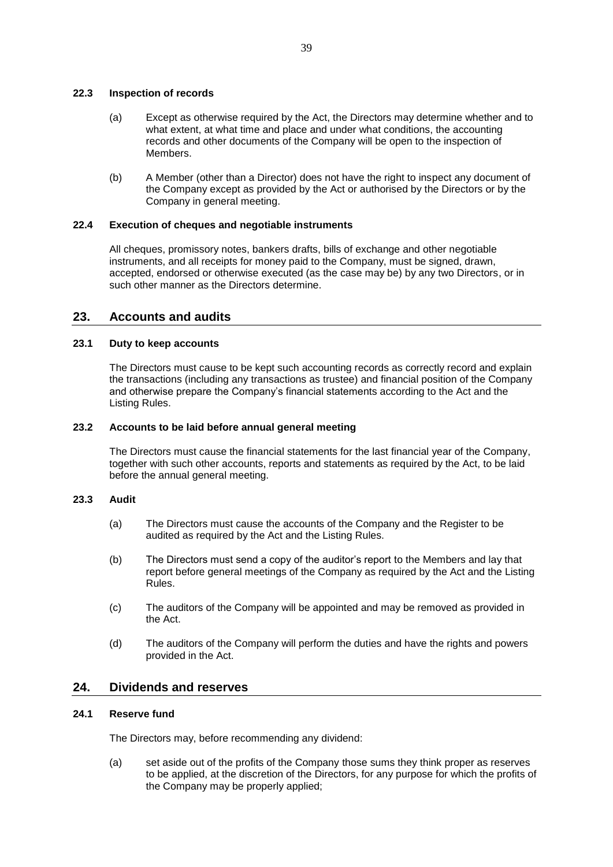### **22.3 Inspection of records**

- (a) Except as otherwise required by the Act, the Directors may determine whether and to what extent, at what time and place and under what conditions, the accounting records and other documents of the Company will be open to the inspection of Members.
- (b) A Member (other than a Director) does not have the right to inspect any document of the Company except as provided by the Act or authorised by the Directors or by the Company in general meeting.

# **22.4 Execution of cheques and negotiable instruments**

All cheques, promissory notes, bankers drafts, bills of exchange and other negotiable instruments, and all receipts for money paid to the Company, must be signed, drawn, accepted, endorsed or otherwise executed (as the case may be) by any two Directors, or in such other manner as the Directors determine.

# **23. Accounts and audits**

# **23.1 Duty to keep accounts**

The Directors must cause to be kept such accounting records as correctly record and explain the transactions (including any transactions as trustee) and financial position of the Company and otherwise prepare the Company's financial statements according to the Act and the Listing Rules.

### **23.2 Accounts to be laid before annual general meeting**

The Directors must cause the financial statements for the last financial year of the Company, together with such other accounts, reports and statements as required by the Act, to be laid before the annual general meeting.

### **23.3 Audit**

- (a) The Directors must cause the accounts of the Company and the Register to be audited as required by the Act and the Listing Rules.
- (b) The Directors must send a copy of the auditor's report to the Members and lay that report before general meetings of the Company as required by the Act and the Listing Rules.
- (c) The auditors of the Company will be appointed and may be removed as provided in the Act.
- (d) The auditors of the Company will perform the duties and have the rights and powers provided in the Act.

# **24. Dividends and reserves**

# **24.1 Reserve fund**

The Directors may, before recommending any dividend:

(a) set aside out of the profits of the Company those sums they think proper as reserves to be applied, at the discretion of the Directors, for any purpose for which the profits of the Company may be properly applied;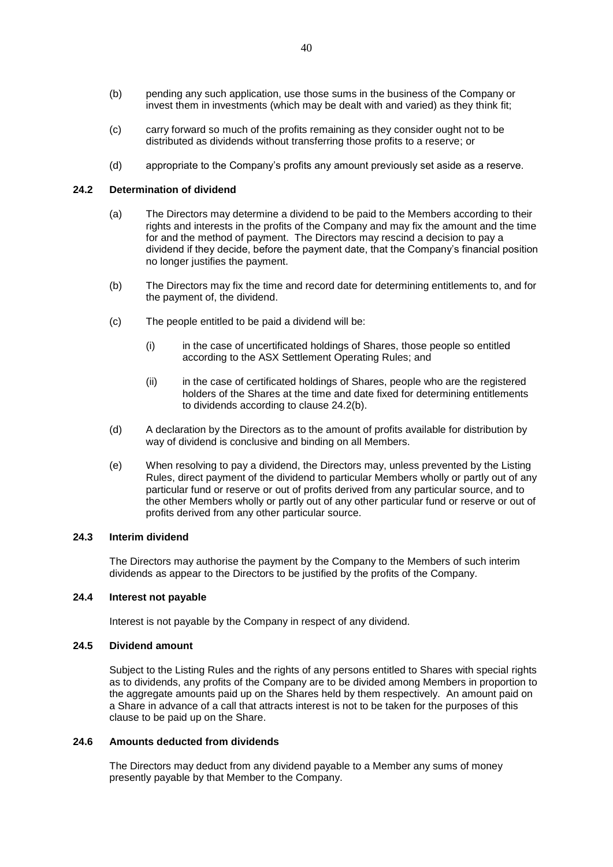- (b) pending any such application, use those sums in the business of the Company or invest them in investments (which may be dealt with and varied) as they think fit;
- (c) carry forward so much of the profits remaining as they consider ought not to be distributed as dividends without transferring those profits to a reserve; or
- (d) appropriate to the Company's profits any amount previously set aside as a reserve.

## **24.2 Determination of dividend**

- (a) The Directors may determine a dividend to be paid to the Members according to their rights and interests in the profits of the Company and may fix the amount and the time for and the method of payment. The Directors may rescind a decision to pay a dividend if they decide, before the payment date, that the Company's financial position no longer justifies the payment.
- <span id="page-40-0"></span>(b) The Directors may fix the time and record date for determining entitlements to, and for the payment of, the dividend.
- (c) The people entitled to be paid a dividend will be:
	- (i) in the case of uncertificated holdings of Shares, those people so entitled according to the ASX Settlement Operating Rules; and
	- (ii) in the case of certificated holdings of Shares, people who are the registered holders of the Shares at the time and date fixed for determining entitlements to dividends according to clause [24.2\(b\).](#page-40-0)
- (d) A declaration by the Directors as to the amount of profits available for distribution by way of dividend is conclusive and binding on all Members.
- (e) When resolving to pay a dividend, the Directors may, unless prevented by the Listing Rules, direct payment of the dividend to particular Members wholly or partly out of any particular fund or reserve or out of profits derived from any particular source, and to the other Members wholly or partly out of any other particular fund or reserve or out of profits derived from any other particular source.

## **24.3 Interim dividend**

The Directors may authorise the payment by the Company to the Members of such interim dividends as appear to the Directors to be justified by the profits of the Company.

# **24.4 Interest not payable**

Interest is not payable by the Company in respect of any dividend.

## **24.5 Dividend amount**

Subject to the Listing Rules and the rights of any persons entitled to Shares with special rights as to dividends, any profits of the Company are to be divided among Members in proportion to the aggregate amounts paid up on the Shares held by them respectively. An amount paid on a Share in advance of a call that attracts interest is not to be taken for the purposes of this clause to be paid up on the Share.

#### **24.6 Amounts deducted from dividends**

The Directors may deduct from any dividend payable to a Member any sums of money presently payable by that Member to the Company.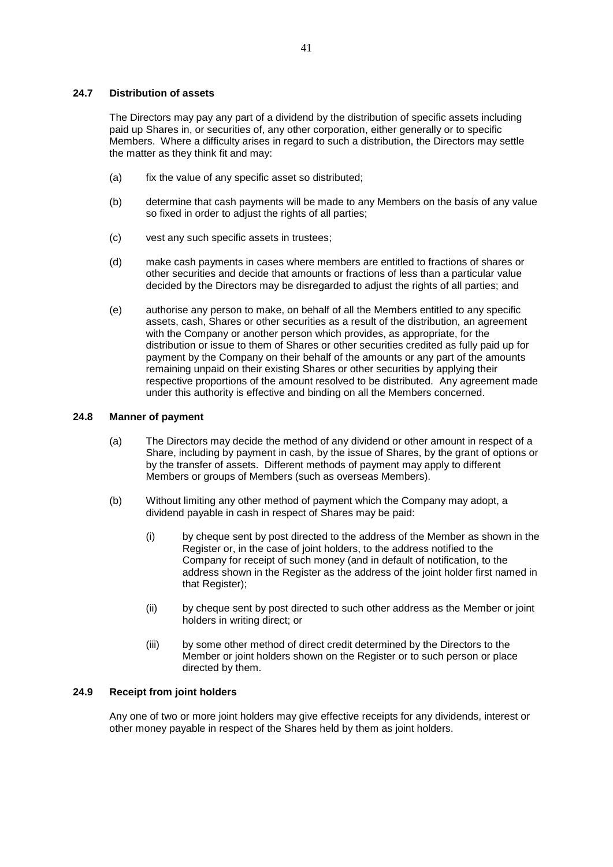#### **24.7 Distribution of assets**

The Directors may pay any part of a dividend by the distribution of specific assets including paid up Shares in, or securities of, any other corporation, either generally or to specific Members. Where a difficulty arises in regard to such a distribution, the Directors may settle the matter as they think fit and may:

- (a) fix the value of any specific asset so distributed;
- (b) determine that cash payments will be made to any Members on the basis of any value so fixed in order to adjust the rights of all parties;
- (c) vest any such specific assets in trustees;
- (d) make cash payments in cases where members are entitled to fractions of shares or other securities and decide that amounts or fractions of less than a particular value decided by the Directors may be disregarded to adjust the rights of all parties; and
- (e) authorise any person to make, on behalf of all the Members entitled to any specific assets, cash, Shares or other securities as a result of the distribution, an agreement with the Company or another person which provides, as appropriate, for the distribution or issue to them of Shares or other securities credited as fully paid up for payment by the Company on their behalf of the amounts or any part of the amounts remaining unpaid on their existing Shares or other securities by applying their respective proportions of the amount resolved to be distributed. Any agreement made under this authority is effective and binding on all the Members concerned.

### **24.8 Manner of payment**

- (a) The Directors may decide the method of any dividend or other amount in respect of a Share, including by payment in cash, by the issue of Shares, by the grant of options or by the transfer of assets. Different methods of payment may apply to different Members or groups of Members (such as overseas Members).
- <span id="page-41-0"></span>(b) Without limiting any other method of payment which the Company may adopt, a dividend payable in cash in respect of Shares may be paid:
	- (i) by cheque sent by post directed to the address of the Member as shown in the Register or, in the case of joint holders, to the address notified to the Company for receipt of such money (and in default of notification, to the address shown in the Register as the address of the joint holder first named in that Register);
	- (ii) by cheque sent by post directed to such other address as the Member or joint holders in writing direct; or
	- (iii) by some other method of direct credit determined by the Directors to the Member or joint holders shown on the Register or to such person or place directed by them.

# **24.9 Receipt from joint holders**

Any one of two or more joint holders may give effective receipts for any dividends, interest or other money payable in respect of the Shares held by them as joint holders.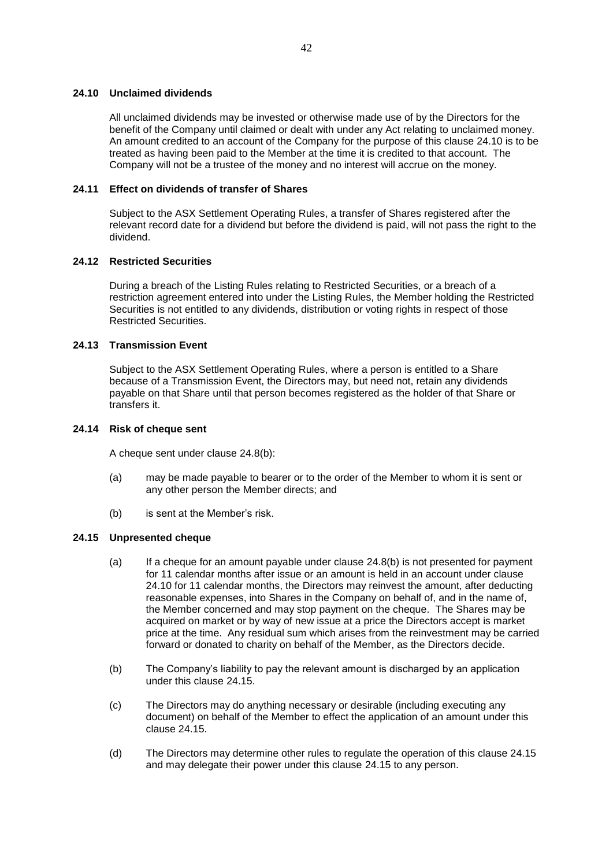## <span id="page-42-0"></span>**24.10 Unclaimed dividends**

All unclaimed dividends may be invested or otherwise made use of by the Directors for the benefit of the Company until claimed or dealt with under any Act relating to unclaimed money. An amount credited to an account of the Company for the purpose of this clause [24.10](#page-42-0) is to be treated as having been paid to the Member at the time it is credited to that account. The Company will not be a trustee of the money and no interest will accrue on the money.

# **24.11 Effect on dividends of transfer of Shares**

Subject to the ASX Settlement Operating Rules, a transfer of Shares registered after the relevant record date for a dividend but before the dividend is paid, will not pass the right to the dividend.

# **24.12 Restricted Securities**

During a breach of the Listing Rules relating to Restricted Securities, or a breach of a restriction agreement entered into under the Listing Rules, the Member holding the Restricted Securities is not entitled to any dividends, distribution or voting rights in respect of those Restricted Securities.

## **24.13 Transmission Event**

Subject to the ASX Settlement Operating Rules, where a person is entitled to a Share because of a Transmission Event, the Directors may, but need not, retain any dividends payable on that Share until that person becomes registered as the holder of that Share or transfers it.

## **24.14 Risk of cheque sent**

A cheque sent under clause [24.8\(b\):](#page-41-0)

- (a) may be made payable to bearer or to the order of the Member to whom it is sent or any other person the Member directs; and
- (b) is sent at the Member's risk.

### <span id="page-42-1"></span>**24.15 Unpresented cheque**

- (a) If a cheque for an amount payable under clause [24.8\(b\)](#page-41-0) is not presented for payment for 11 calendar months after issue or an amount is held in an account under clause [24.10](#page-42-0) for 11 calendar months, the Directors may reinvest the amount, after deducting reasonable expenses, into Shares in the Company on behalf of, and in the name of, the Member concerned and may stop payment on the cheque. The Shares may be acquired on market or by way of new issue at a price the Directors accept is market price at the time. Any residual sum which arises from the reinvestment may be carried forward or donated to charity on behalf of the Member, as the Directors decide.
- (b) The Company's liability to pay the relevant amount is discharged by an application under this clause [24.15.](#page-42-1)
- (c) The Directors may do anything necessary or desirable (including executing any document) on behalf of the Member to effect the application of an amount under this clause [24.15.](#page-42-1)
- (d) The Directors may determine other rules to regulate the operation of this clause [24.15](#page-42-1) and may delegate their power under this clause [24.15](#page-42-1) to any person.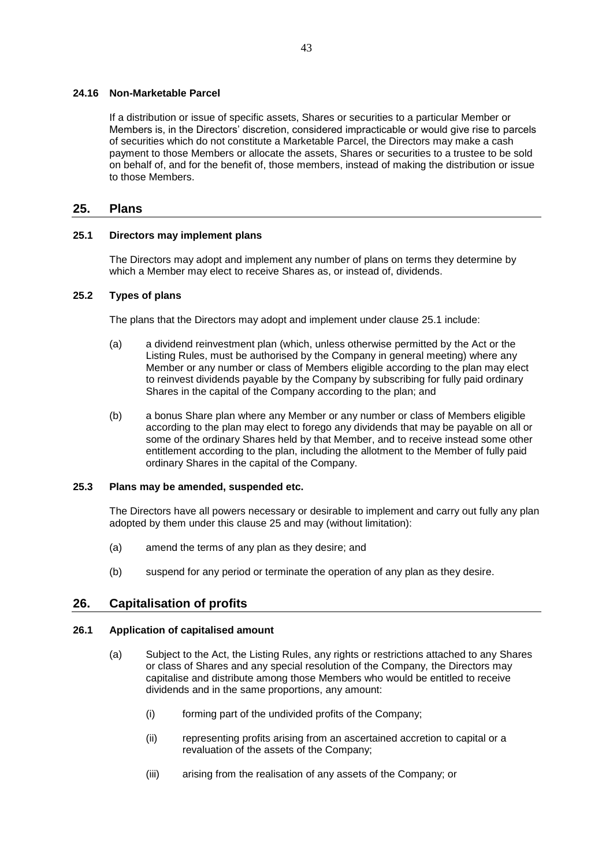#### **24.16 Non-Marketable Parcel**

If a distribution or issue of specific assets, Shares or securities to a particular Member or Members is, in the Directors' discretion, considered impracticable or would give rise to parcels of securities which do not constitute a Marketable Parcel, the Directors may make a cash payment to those Members or allocate the assets, Shares or securities to a trustee to be sold on behalf of, and for the benefit of, those members, instead of making the distribution or issue to those Members.

# <span id="page-43-1"></span>**25. Plans**

## <span id="page-43-0"></span>**25.1 Directors may implement plans**

The Directors may adopt and implement any number of plans on terms they determine by which a Member may elect to receive Shares as, or instead of, dividends.

#### **25.2 Types of plans**

The plans that the Directors may adopt and implement under clause [25.1](#page-43-0) include:

- (a) a dividend reinvestment plan (which, unless otherwise permitted by the Act or the Listing Rules, must be authorised by the Company in general meeting) where any Member or any number or class of Members eligible according to the plan may elect to reinvest dividends payable by the Company by subscribing for fully paid ordinary Shares in the capital of the Company according to the plan; and
- (b) a bonus Share plan where any Member or any number or class of Members eligible according to the plan may elect to forego any dividends that may be payable on all or some of the ordinary Shares held by that Member, and to receive instead some other entitlement according to the plan, including the allotment to the Member of fully paid ordinary Shares in the capital of the Company.

#### **25.3 Plans may be amended, suspended etc.**

The Directors have all powers necessary or desirable to implement and carry out fully any plan adopted by them under this clause [25](#page-43-1) and may (without limitation):

- (a) amend the terms of any plan as they desire; and
- (b) suspend for any period or terminate the operation of any plan as they desire.

### <span id="page-43-3"></span>**26. Capitalisation of profits**

#### <span id="page-43-2"></span>**26.1 Application of capitalised amount**

- (a) Subject to the Act, the Listing Rules, any rights or restrictions attached to any Shares or class of Shares and any special resolution of the Company, the Directors may capitalise and distribute among those Members who would be entitled to receive dividends and in the same proportions, any amount:
	- (i) forming part of the undivided profits of the Company;
	- (ii) representing profits arising from an ascertained accretion to capital or a revaluation of the assets of the Company;
	- (iii) arising from the realisation of any assets of the Company; or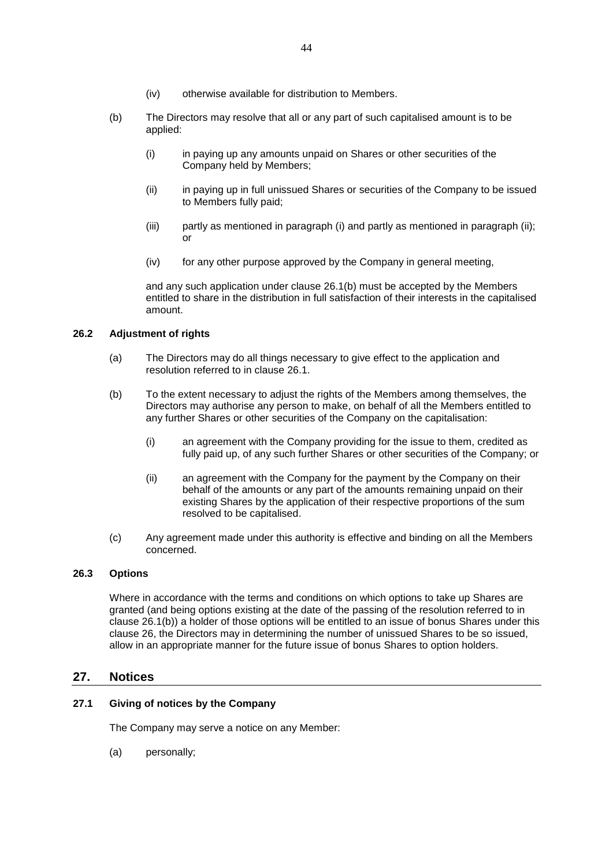- <span id="page-44-1"></span>(b) The Directors may resolve that all or any part of such capitalised amount is to be applied:
	- (i) in paying up any amounts unpaid on Shares or other securities of the Company held by Members;
	- (ii) in paying up in full unissued Shares or securities of the Company to be issued to Members fully paid;
	- (iii) partly as mentioned in paragraph (i) and partly as mentioned in paragraph (ii); or
	- (iv) for any other purpose approved by the Company in general meeting,

and any such application under clause [26.1\(b\)](#page-44-1) must be accepted by the Members entitled to share in the distribution in full satisfaction of their interests in the capitalised amount.

# **26.2 Adjustment of rights**

- (a) The Directors may do all things necessary to give effect to the application and resolution referred to in clause [26.1.](#page-43-2)
- (b) To the extent necessary to adjust the rights of the Members among themselves, the Directors may authorise any person to make, on behalf of all the Members entitled to any further Shares or other securities of the Company on the capitalisation:
	- (i) an agreement with the Company providing for the issue to them, credited as fully paid up, of any such further Shares or other securities of the Company; or
	- (ii) an agreement with the Company for the payment by the Company on their behalf of the amounts or any part of the amounts remaining unpaid on their existing Shares by the application of their respective proportions of the sum resolved to be capitalised.
- (c) Any agreement made under this authority is effective and binding on all the Members concerned.

# **26.3 Options**

Where in accordance with the terms and conditions on which options to take up Shares are granted (and being options existing at the date of the passing of the resolution referred to in clause [26.1\(b\)\)](#page-44-1) a holder of those options will be entitled to an issue of bonus Shares under this clause [26,](#page-43-3) the Directors may in determining the number of unissued Shares to be so issued, allow in an appropriate manner for the future issue of bonus Shares to option holders.

# **27. Notices**

# <span id="page-44-0"></span>**27.1 Giving of notices by the Company**

The Company may serve a notice on any Member:

(a) personally;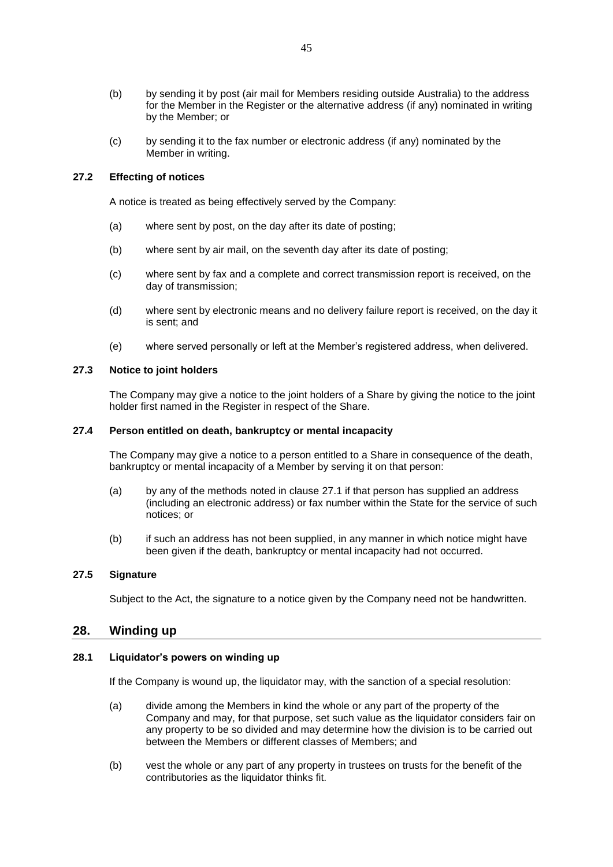- (b) by sending it by post (air mail for Members residing outside Australia) to the address for the Member in the Register or the alternative address (if any) nominated in writing by the Member; or
- (c) by sending it to the fax number or electronic address (if any) nominated by the Member in writing.

## **27.2 Effecting of notices**

A notice is treated as being effectively served by the Company:

- (a) where sent by post, on the day after its date of posting;
- (b) where sent by air mail, on the seventh day after its date of posting;
- (c) where sent by fax and a complete and correct transmission report is received, on the day of transmission;
- (d) where sent by electronic means and no delivery failure report is received, on the day it is sent; and
- (e) where served personally or left at the Member's registered address, when delivered.

# **27.3 Notice to joint holders**

The Company may give a notice to the joint holders of a Share by giving the notice to the joint holder first named in the Register in respect of the Share.

### **27.4 Person entitled on death, bankruptcy or mental incapacity**

The Company may give a notice to a person entitled to a Share in consequence of the death, bankruptcy or mental incapacity of a Member by serving it on that person:

- (a) by any of the methods noted in clause [27.1](#page-44-0) if that person has supplied an address (including an electronic address) or fax number within the State for the service of such notices; or
- (b) if such an address has not been supplied, in any manner in which notice might have been given if the death, bankruptcy or mental incapacity had not occurred.

# **27.5 Signature**

Subject to the Act, the signature to a notice given by the Company need not be handwritten.

# <span id="page-45-1"></span>**28. Winding up**

### <span id="page-45-0"></span>**28.1 Liquidator's powers on winding up**

If the Company is wound up, the liquidator may, with the sanction of a special resolution:

- (a) divide among the Members in kind the whole or any part of the property of the Company and may, for that purpose, set such value as the liquidator considers fair on any property to be so divided and may determine how the division is to be carried out between the Members or different classes of Members; and
- (b) vest the whole or any part of any property in trustees on trusts for the benefit of the contributories as the liquidator thinks fit.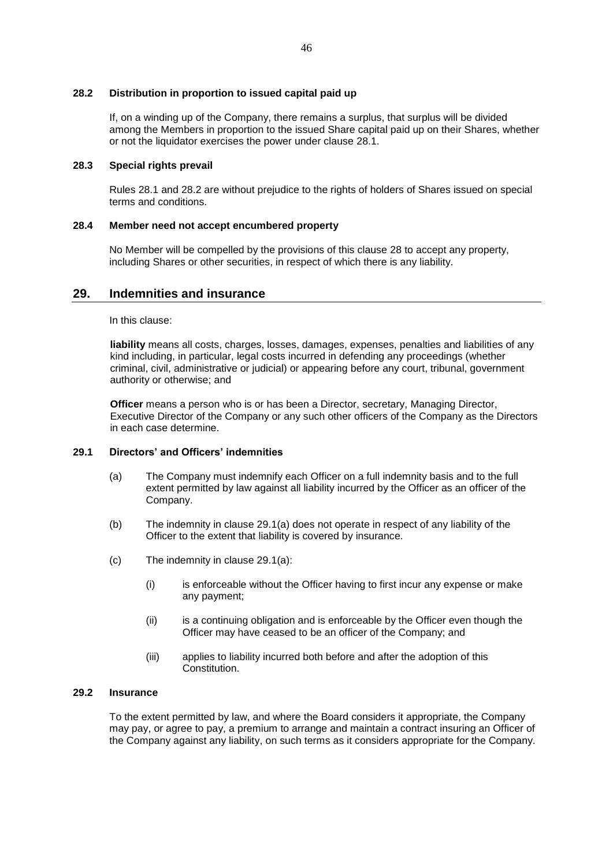## **28.2 Distribution in proportion to issued capital paid up**

If, on a winding up of the Company, there remains a surplus, that surplus will be divided among the Members in proportion to the issued Share capital paid up on their Shares, whether or not the liquidator exercises the power under clause [28.1.](#page-45-0)

# **28.3 Special rights prevail**

Rules 28.1 and 28.2 are without prejudice to the rights of holders of Shares issued on special terms and conditions.

### **28.4 Member need not accept encumbered property**

No Member will be compelled by the provisions of this clause [28](#page-45-1) to accept any property, including Shares or other securities, in respect of which there is any liability.

# **29. Indemnities and insurance**

In this clause:

**liability** means all costs, charges, losses, damages, expenses, penalties and liabilities of any kind including, in particular, legal costs incurred in defending any proceedings (whether criminal, civil, administrative or judicial) or appearing before any court, tribunal, government authority or otherwise; and

**Officer** means a person who is or has been a Director, secretary, Managing Director, Executive Director of the Company or any such other officers of the Company as the Directors in each case determine.

# <span id="page-46-0"></span>**29.1 Directors' and Officers' indemnities**

- (a) The Company must indemnify each Officer on a full indemnity basis and to the full extent permitted by law against all liability incurred by the Officer as an officer of the Company.
- (b) The indemnity in clause [29.1\(a\)](#page-46-0) does not operate in respect of any liability of the Officer to the extent that liability is covered by insurance.
- (c) The indemnity in clause [29.1\(a\):](#page-46-0)
	- (i) is enforceable without the Officer having to first incur any expense or make any payment;
	- (ii) is a continuing obligation and is enforceable by the Officer even though the Officer may have ceased to be an officer of the Company; and
	- (iii) applies to liability incurred both before and after the adoption of this Constitution.

# **29.2 Insurance**

To the extent permitted by law, and where the Board considers it appropriate, the Company may pay, or agree to pay, a premium to arrange and maintain a contract insuring an Officer of the Company against any liability, on such terms as it considers appropriate for the Company.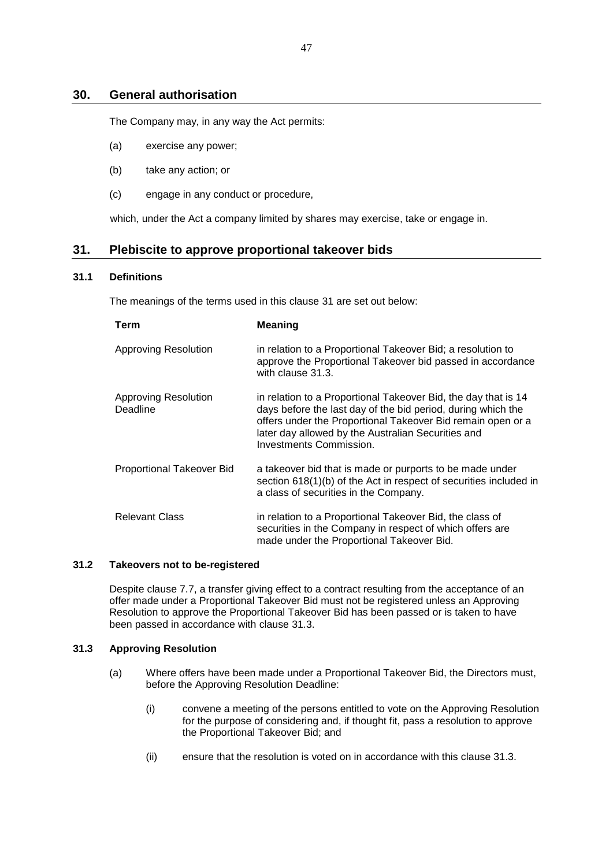# **30. General authorisation**

The Company may, in any way the Act permits:

- (a) exercise any power;
- (b) take any action; or
- (c) engage in any conduct or procedure,

which, under the Act a company limited by shares may exercise, take or engage in.

# <span id="page-47-0"></span>**31. Plebiscite to approve proportional takeover bids**

# <span id="page-47-3"></span>**31.1 Definitions**

The meanings of the terms used in this clause [31](#page-47-0) are set out below:

| Term                             | <b>Meaning</b>                                                                                                                                                                                                                                                                        |
|----------------------------------|---------------------------------------------------------------------------------------------------------------------------------------------------------------------------------------------------------------------------------------------------------------------------------------|
| <b>Approving Resolution</b>      | in relation to a Proportional Takeover Bid; a resolution to<br>approve the Proportional Takeover bid passed in accordance<br>with clause 31.3.                                                                                                                                        |
| Approving Resolution<br>Deadline | in relation to a Proportional Takeover Bid, the day that is 14<br>days before the last day of the bid period, during which the<br>offers under the Proportional Takeover Bid remain open or a<br>later day allowed by the Australian Securities and<br><b>Investments Commission.</b> |
| Proportional Takeover Bid        | a takeover bid that is made or purports to be made under<br>section 618(1)(b) of the Act in respect of securities included in<br>a class of securities in the Company.                                                                                                                |
| <b>Relevant Class</b>            | in relation to a Proportional Takeover Bid, the class of<br>securities in the Company in respect of which offers are<br>made under the Proportional Takeover Bid.                                                                                                                     |

## <span id="page-47-4"></span>**31.2 Takeovers not to be-registered**

Despite clause [7.7,](#page-17-0) a transfer giving effect to a contract resulting from the acceptance of an offer made under a Proportional Takeover Bid must not be registered unless an Approving Resolution to approve the Proportional Takeover Bid has been passed or is taken to have been passed in accordance with clause [31.3.](#page-47-1)

# <span id="page-47-2"></span><span id="page-47-1"></span>**31.3 Approving Resolution**

- (a) Where offers have been made under a Proportional Takeover Bid, the Directors must, before the Approving Resolution Deadline:
	- (i) convene a meeting of the persons entitled to vote on the Approving Resolution for the purpose of considering and, if thought fit, pass a resolution to approve the Proportional Takeover Bid; and
	- (ii) ensure that the resolution is voted on in accordance with this clause [31.3.](#page-47-1)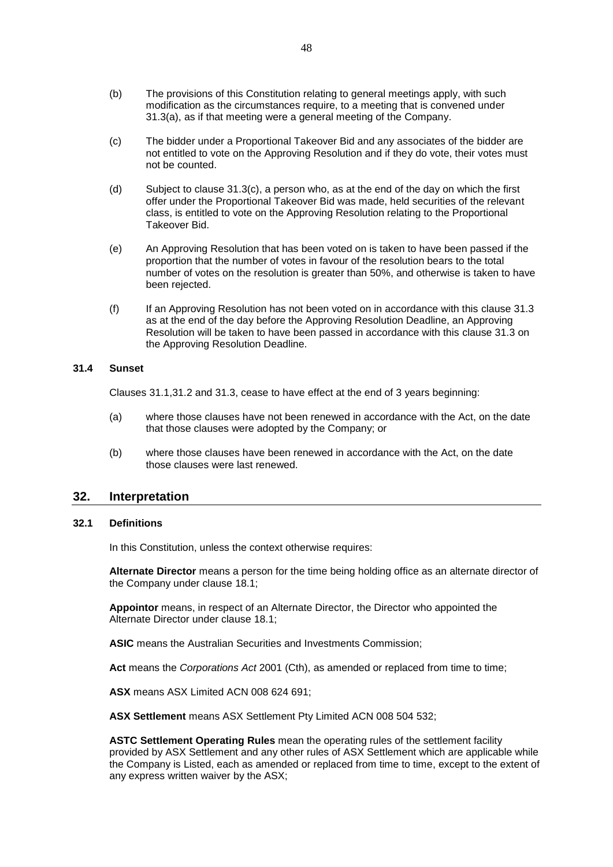- (b) The provisions of this Constitution relating to general meetings apply, with such modification as the circumstances require, to a meeting that is convened under [31.3\(a\),](#page-47-2) as if that meeting were a general meeting of the Company.
- <span id="page-48-0"></span>(c) The bidder under a Proportional Takeover Bid and any associates of the bidder are not entitled to vote on the Approving Resolution and if they do vote, their votes must not be counted.
- (d) Subject to clause [31.3\(c\),](#page-48-0) a person who, as at the end of the day on which the first offer under the Proportional Takeover Bid was made, held securities of the relevant class, is entitled to vote on the Approving Resolution relating to the Proportional Takeover Bid.
- (e) An Approving Resolution that has been voted on is taken to have been passed if the proportion that the number of votes in favour of the resolution bears to the total number of votes on the resolution is greater than 50%, and otherwise is taken to have been rejected.
- (f) If an Approving Resolution has not been voted on in accordance with this clause [31.3](#page-47-1) as at the end of the day before the Approving Resolution Deadline, an Approving Resolution will be taken to have been passed in accordance with this clause [31.3](#page-47-1) on the Approving Resolution Deadline.

# **31.4 Sunset**

Clauses [31.1](#page-47-3)[,31.2](#page-47-4) and [31.3,](#page-47-1) cease to have effect at the end of 3 years beginning:

- (a) where those clauses have not been renewed in accordance with the Act, on the date that those clauses were adopted by the Company; or
- (b) where those clauses have been renewed in accordance with the Act, on the date those clauses were last renewed.

# **32. Interpretation**

## **32.1 Definitions**

In this Constitution, unless the context otherwise requires:

**Alternate Director** means a person for the time being holding office as an alternate director of the Company under clause [18.1;](#page-35-1)

**Appointor** means, in respect of an Alternate Director, the Director who appointed the Alternate Director under clause [18.1;](#page-35-1)

**ASIC** means the Australian Securities and Investments Commission;

**Act** means the *Corporations Act* 2001 (Cth), as amended or replaced from time to time;

**ASX** means ASX Limited ACN 008 624 691;

**ASX Settlement** means ASX Settlement Pty Limited ACN 008 504 532;

**ASTC Settlement Operating Rules** mean the operating rules of the settlement facility provided by ASX Settlement and any other rules of ASX Settlement which are applicable while the Company is Listed, each as amended or replaced from time to time, except to the extent of any express written waiver by the ASX;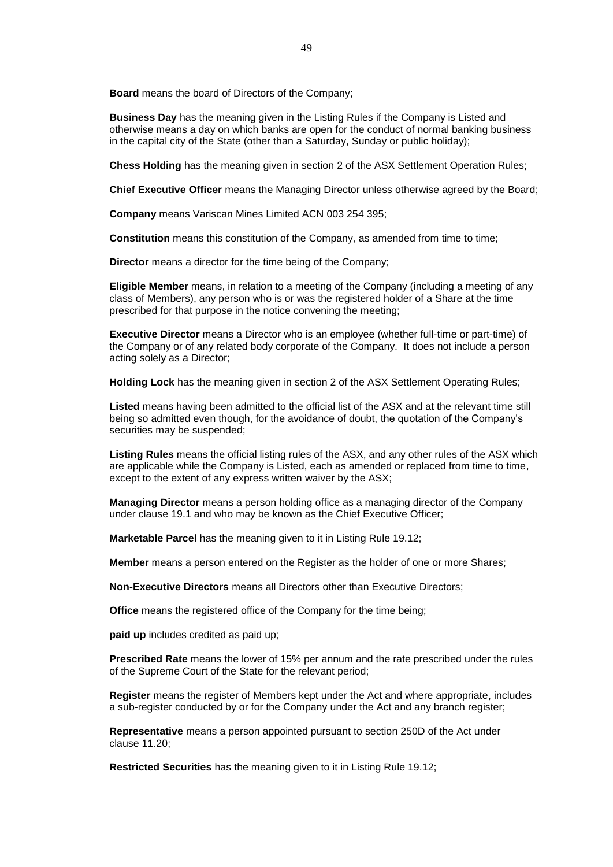**Board** means the board of Directors of the Company;

**Business Day** has the meaning given in the Listing Rules if the Company is Listed and otherwise means a day on which banks are open for the conduct of normal banking business in the capital city of the State (other than a Saturday, Sunday or public holiday);

**Chess Holding** has the meaning given in section 2 of the ASX Settlement Operation Rules;

**Chief Executive Officer** means the Managing Director unless otherwise agreed by the Board;

**Company** means Variscan Mines Limited ACN 003 254 395;

**Constitution** means this constitution of the Company, as amended from time to time;

**Director** means a director for the time being of the Company;

**Eligible Member** means, in relation to a meeting of the Company (including a meeting of any class of Members), any person who is or was the registered holder of a Share at the time prescribed for that purpose in the notice convening the meeting;

**Executive Director** means a Director who is an employee (whether full-time or part-time) of the Company or of any related body corporate of the Company. It does not include a person acting solely as a Director;

**Holding Lock** has the meaning given in section 2 of the ASX Settlement Operating Rules;

**Listed** means having been admitted to the official list of the ASX and at the relevant time still being so admitted even though, for the avoidance of doubt, the quotation of the Company's securities may be suspended;

**Listing Rules** means the official listing rules of the ASX, and any other rules of the ASX which are applicable while the Company is Listed, each as amended or replaced from time to time, except to the extent of any express written waiver by the ASX;

**Managing Director** means a person holding office as a managing director of the Company under clause [19.1](#page-36-0) and who may be known as the Chief Executive Officer;

**Marketable Parcel** has the meaning given to it in Listing Rule 19.12;

**Member** means a person entered on the Register as the holder of one or more Shares;

**Non-Executive Directors** means all Directors other than Executive Directors;

**Office** means the registered office of the Company for the time being;

**paid up** includes credited as paid up;

**Prescribed Rate** means the lower of 15% per annum and the rate prescribed under the rules of the Supreme Court of the State for the relevant period;

**Register** means the register of Members kept under the Act and where appropriate, includes a sub-register conducted by or for the Company under the Act and any branch register;

**Representative** means a person appointed pursuant to section 250D of the Act under clause [11.20;](#page-25-2)

**Restricted Securities** has the meaning given to it in Listing Rule 19.12;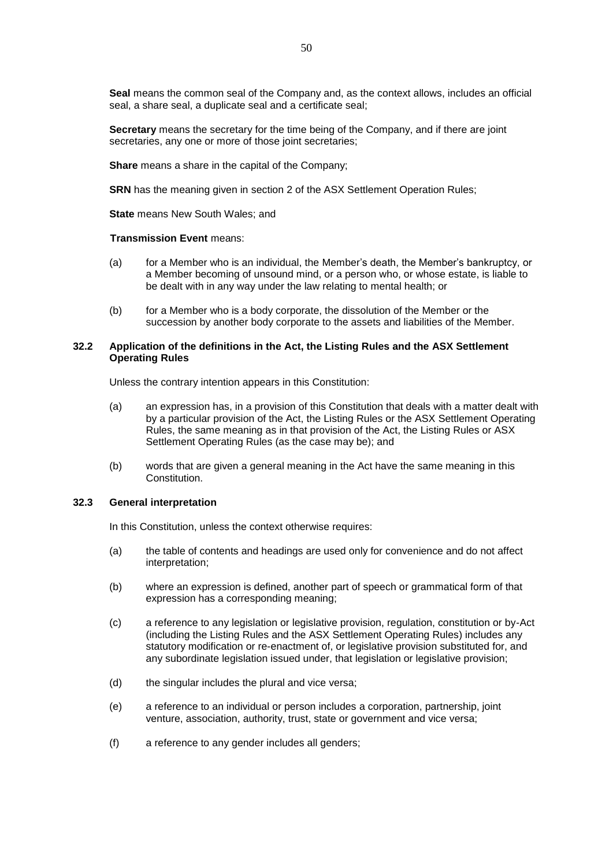**Seal** means the common seal of the Company and, as the context allows, includes an official seal, a share seal, a duplicate seal and a certificate seal;

**Secretary** means the secretary for the time being of the Company, and if there are joint secretaries, any one or more of those joint secretaries;

**Share** means a share in the capital of the Company;

**SRN** has the meaning given in section 2 of the ASX Settlement Operation Rules;

**State** means New South Wales; and

#### **Transmission Event** means:

- (a) for a Member who is an individual, the Member's death, the Member's bankruptcy, or a Member becoming of unsound mind, or a person who, or whose estate, is liable to be dealt with in any way under the law relating to mental health; or
- (b) for a Member who is a body corporate, the dissolution of the Member or the succession by another body corporate to the assets and liabilities of the Member.

## **32.2 Application of the definitions in the Act, the Listing Rules and the ASX Settlement Operating Rules**

Unless the contrary intention appears in this Constitution:

- (a) an expression has, in a provision of this Constitution that deals with a matter dealt with by a particular provision of the Act, the Listing Rules or the ASX Settlement Operating Rules, the same meaning as in that provision of the Act, the Listing Rules or ASX Settlement Operating Rules (as the case may be); and
- (b) words that are given a general meaning in the Act have the same meaning in this Constitution.

## **32.3 General interpretation**

In this Constitution, unless the context otherwise requires:

- (a) the table of contents and headings are used only for convenience and do not affect interpretation;
- (b) where an expression is defined, another part of speech or grammatical form of that expression has a corresponding meaning;
- (c) a reference to any legislation or legislative provision, regulation, constitution or by-Act (including the Listing Rules and the ASX Settlement Operating Rules) includes any statutory modification or re-enactment of, or legislative provision substituted for, and any subordinate legislation issued under, that legislation or legislative provision;
- (d) the singular includes the plural and vice versa;
- (e) a reference to an individual or person includes a corporation, partnership, joint venture, association, authority, trust, state or government and vice versa;
- (f) a reference to any gender includes all genders;